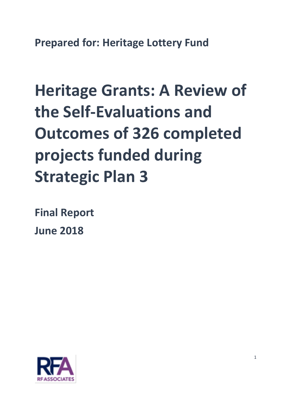**Prepared for: Heritage Lottery Fund**

# **Heritage Grants: A Review of the Self-Evaluations and Outcomes of 326 completed projects funded during Strategic Plan 3**

**Final Report**

**June 2018** 

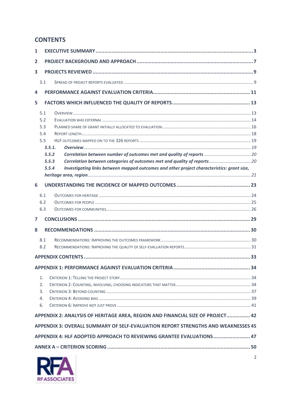## **CONTENTS**

| 1                                                                                                   |        |                                                                          |  |  |
|-----------------------------------------------------------------------------------------------------|--------|--------------------------------------------------------------------------|--|--|
| 2                                                                                                   |        |                                                                          |  |  |
| 3                                                                                                   |        |                                                                          |  |  |
|                                                                                                     | 3.1    |                                                                          |  |  |
| 4                                                                                                   |        |                                                                          |  |  |
| 5                                                                                                   |        |                                                                          |  |  |
| 5.1                                                                                                 |        |                                                                          |  |  |
|                                                                                                     | 5.2    |                                                                          |  |  |
|                                                                                                     | 5.3    |                                                                          |  |  |
|                                                                                                     | 5.4    |                                                                          |  |  |
|                                                                                                     | 5.5    |                                                                          |  |  |
|                                                                                                     | 5.5.1. |                                                                          |  |  |
|                                                                                                     | 5.5.2  | Correlation between number of outcomes met and quality of reports 20     |  |  |
|                                                                                                     |        |                                                                          |  |  |
|                                                                                                     | 5.5.3  | Correlation between categories of outcomes met and quality of reports 20 |  |  |
| Investigating links between mapped outcomes and other project characteristics: grant size,<br>5.5.4 |        |                                                                          |  |  |
|                                                                                                     |        |                                                                          |  |  |
| 6                                                                                                   |        |                                                                          |  |  |
|                                                                                                     | 6.1    |                                                                          |  |  |
|                                                                                                     | 6.2    |                                                                          |  |  |
|                                                                                                     | 6.3    |                                                                          |  |  |
| $\overline{ }$                                                                                      |        |                                                                          |  |  |
| 8                                                                                                   |        |                                                                          |  |  |
|                                                                                                     | 8.1    |                                                                          |  |  |
|                                                                                                     | 8.2    |                                                                          |  |  |
|                                                                                                     |        |                                                                          |  |  |
|                                                                                                     |        |                                                                          |  |  |
| APPENDIX 1: PERFORMANCE AGAINST EVALUATION CRITERIA                                                 |        |                                                                          |  |  |
|                                                                                                     | 1.     |                                                                          |  |  |
|                                                                                                     | 2.     |                                                                          |  |  |
|                                                                                                     | 3.     |                                                                          |  |  |
|                                                                                                     | 4.     |                                                                          |  |  |
|                                                                                                     | 6.     |                                                                          |  |  |
|                                                                                                     |        |                                                                          |  |  |
| APPENDIX 2: ANALYSIS OF HERITAGE AREA, REGION AND FINANCIAL SIZE OF PROJECT 42                      |        |                                                                          |  |  |
| APPENDIX 3: OVERALL SUMMARY OF SELF-EVALUATION REPORT STRENGTHS AND WEAKNESSES 45                   |        |                                                                          |  |  |
| APPENDIX 4: HLF ADOPTED APPROACH TO REVIEWING GRANTEE EVALUATIONS 47                                |        |                                                                          |  |  |
|                                                                                                     |        |                                                                          |  |  |
| 2                                                                                                   |        |                                                                          |  |  |

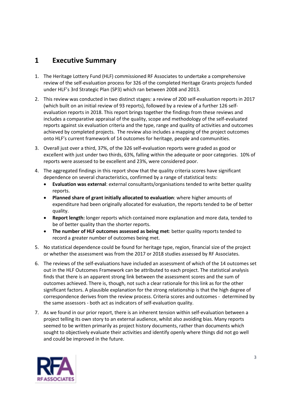# <span id="page-2-0"></span>**1 Executive Summary**

- 1. The Heritage Lottery Fund (HLF) commissioned RF Associates to undertake a comprehensive review of the self-evaluation process for 326 of the completed Heritage Grants projects funded under HLF's 3rd Strategic Plan (SP3) which ran between 2008 and 2013.
- 2. This review was conducted in two distinct stages: a review of 200 self-evaluation reports in 2017 (which built on an initial review of 93 reports), followed by a review of a further 126 selfevaluation reports in 2018. This report brings together the findings from these reviews and includes a comparative appraisal of the quality, scope and methodology of the self-evaluated reports against six evaluation criteria and the type, range and quality of activities and outcomes achieved by completed projects. The review also includes a mapping of the project outcomes onto HLF's current framework of 14 outcomes for heritage, people and communities.
- 3. Overall just over a third, 37%, of the 326 self-evaluation reports were graded as good or excellent with just under two thirds, 63%, falling within the adequate or poor categories. 10% of reports were assessed to be excellent and 23%, were considered poor.
- 4. The aggregated findings in this report show that the quality criteria scores have significant dependence on several characteristics, confirmed by a range of statistical tests:
	- **Evaluation was external**: external consultants/organisations tended to write better quality reports.
	- **Planned share of grant initially allocated to evaluation**: where higher amounts of expenditure had been originally allocated for evaluation, the reports tended to be of better quality.
	- **Report length:** longer reports which contained more explanation and more data, tended to be of better quality than the shorter reports.
	- **The number of HLF outcomes assessed as being met**: better quality reports tended to record a greater number of outcomes being met.
- 5. No statistical dependence could be found for heritage type, region, financial size of the project or whether the assessment was from the 2017 or 2018 studies assessed by RF Associates.
- 6. The reviews of the self-evaluations have included an assessment of which of the 14 outcomes set out in the HLF Outcomes Framework can be attributed to each project. The statistical analysis finds that there is an apparent strong link between the assessment scores and the sum of outcomes achieved. There is, though, not such a clear rationale for this link as for the other significant factors. A plausible explanation for the strong relationship is that the high degree of correspondence derives from the review process. Criteria scores and outcomes - determined by the same assessors - both act as indicators of self-evaluation quality.
- 7. As we found in our prior report, there is an inherent tension within self-evaluation between a project telling its own story to an external audience, whilst also avoiding bias. Many reports seemed to be written primarily as project history documents, rather than documents which sought to objectively evaluate their activities and identify openly where things did not go well and could be improved in the future.

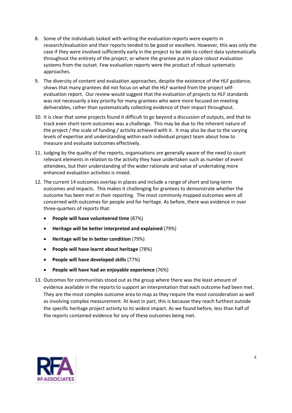- 8. Some of the individuals tasked with writing the evaluation reports were experts in research/evaluation and their reports tended to be good or excellent. However, this was only the case if they were involved sufficiently early in the project to be able to collect data systematically throughout the entirety of the project, or where the grantee put in place robust evaluation systems from the outset. Few evaluation reports were the product of robust systematic approaches.
- 9. The diversity of content and evaluation approaches, despite the existence of the HLF guidance, shows that many grantees did not focus on what the HLF wanted from the project selfevaluation report. Our review would suggest that the evaluation of projects to HLF standards was not necessarily a key priority for many grantees who were more focused on meeting deliverables, rather than systematically collecting evidence of their impact throughout.
- 10. It is clear that some projects found it difficult to go beyond a discussion of outputs, and that to track even short-term outcomes was a challenge. This may be due to the inherent nature of the project / the scale of funding / activity achieved with it. It may also be due to the varying levels of expertise and understanding within each individual project team about how to measure and evaluate outcomes effectively.
- 11. Judging by the quality of the reports, organisations are generally aware of the need to count relevant elements in relation to the activity they have undertaken such as number of event attendees, but their understanding of the wider rationale and value of undertaking more enhanced evaluation activities is mixed.
- 12. The current 14 outcomes overlap in places and include a range of short and long-term outcomes and impacts. This makes it challenging for grantees to demonstrate whether the outcome has been met in their reporting. The most commonly mapped outcomes were all concerned with outcomes for people and for heritage. As before, there was evidence in over three-quarters of reports that:
	- **People will have volunteered time** (87%)
	- **Heritage will be better interpreted and explained** (79%)
	- **Heritage will be in better condition** (79%)
	- **People will have learnt about heritage** (78%)
	- **People will have developed skills** (77%)
	- **People will have had an enjoyable experience** (76%)
- 13. Outcomes for communities stood out as the group where there was the least amount of evidence available in the reports to support an interpretation that each outcome had been met. They are the most complex outcome area to map as they require the most consideration as well as involving complex measurement. At least in part, this is because they reach furthest outside the specific heritage project activity to its widest impact. As we found before, less than half of the reports contained evidence for any of these outcomes being met.

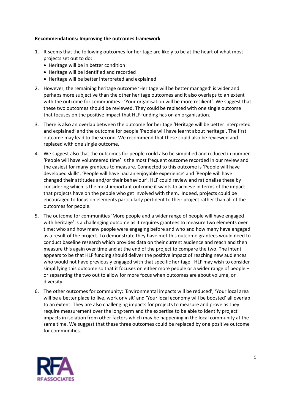#### **Recommendations: Improving the outcomes framework**

- 1. It seems that the following outcomes for heritage are likely to be at the heart of what most projects set out to do:
	- Heritage will be in better condition
	- Heritage will be identified and recorded
	- Heritage will be better interpreted and explained
- 2. However, the remaining heritage outcome 'Heritage will be better managed' is wider and perhaps more subjective than the other heritage outcomes and it also overlaps to an extent with the outcome for communities - 'Your organisation will be more resilient'. We suggest that these two outcomes should be reviewed. They could be replaced with one single outcome that focuses on the positive impact that HLF funding has on an organisation.
- 3. There is also an overlap between the outcome for heritage 'Heritage will be better interpreted and explained' and the outcome for people 'People will have learnt about heritage'. The first outcome may lead to the second. We recommend that these could also be reviewed and replaced with one single outcome.
- 4. We suggest also that the outcomes for people could also be simplified and reduced in number. 'People will have volunteered time' is the most frequent outcome recorded in our review and the easiest for many grantees to measure. Connected to this outcome is 'People will have developed skills', 'People will have had an enjoyable experience' and 'People will have changed their attitudes and/or their behaviour'. HLF could review and rationalise these by considering which is the most important outcome it wants to achieve in terms of the impact that projects have on the people who get involved with them. Indeed, projects could be encouraged to focus on elements particularly pertinent to their project rather than all of the outcomes for people.
- 5. The outcome for communities 'More people and a wider range of people will have engaged with heritage' is a challenging outcome as it requires grantees to measure two elements over time: who and how many people were engaging before and who and how many have engaged as a result of the project. To demonstrate they have met this outcome grantees would need to conduct baseline research which provides data on their current audience and reach and then measure this again over time and at the end of the project to compare the two. The intent appears to be that HLF funding should deliver the positive impact of reaching new audiences who would not have previously engaged with that specific heritage. HLF may wish to consider simplifying this outcome so that it focuses on either more people or a wider range of people – or separating the two out to allow for more focus when outcomes are about volume, or diversity.
- 6. The other outcomes for community: 'Environmental impacts will be reduced', 'Your local area will be a better place to live, work or visit' and 'Your local economy will be boosted' all overlap to an extent. They are also challenging impacts for projects to measure and prove as they require measurement over the long-term and the expertise to be able to identify project impacts in isolation from other factors which may be happening in the local community at the same time. We suggest that these three outcomes could be replaced by one positive outcome for communities.

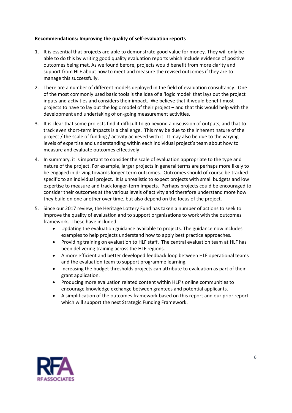#### **Recommendations: Improving the quality of self-evaluation reports**

- 1. It is essential that projects are able to demonstrate good value for money. They will only be able to do this by writing good quality evaluation reports which include evidence of positive outcomes being met. As we found before, projects would benefit from more clarity and support from HLF about how to meet and measure the revised outcomes if they are to manage this successfully.
- 2. There are a number of different models deployed in the field of evaluation consultancy. One of the most commonly used basic tools is the idea of a 'logic model' that lays out the project inputs and activities and considers their impact. We believe that it would benefit most projects to have to lay out the logic model of their project – and that this would help with the development and undertaking of on-going measurement activities.
- 3. It is clear that some projects find it difficult to go beyond a discussion of outputs, and that to track even short-term impacts is a challenge. This may be due to the inherent nature of the project / the scale of funding / activity achieved with it. It may also be due to the varying levels of expertise and understanding within each individual project's team about how to measure and evaluate outcomes effectively
- 4. In summary, it is important to consider the scale of evaluation appropriate to the type and nature of the project. For example, larger projects in general terms are perhaps more likely to be engaged in driving towards longer term outcomes. Outcomes should of course be tracked specific to an individual project. It is unrealistic to expect projects with small budgets and low expertise to measure and track longer-term impacts. Perhaps projects could be encouraged to consider their outcomes at the various levels of activity and therefore understand more how they build on one another over time, but also depend on the focus of the project.
- 5. Since our 2017 review, the Heritage Lottery Fund has taken a number of actions to seek to improve the quality of evaluation and to support organisations to work with the outcomes framework. These have included:
	- Updating the evaluation guidance available to projects. The guidance now includes examples to help projects understand how to apply best practice approaches.
	- Providing training on evaluation to HLF staff. The central evaluation team at HLF has been delivering training across the HLF regions.
	- A more efficient and better developed feedback loop between HLF operational teams and the evaluation team to support programme learning.
	- Increasing the budget thresholds projects can attribute to evaluation as part of their grant application.
	- Producing more evaluation related content within HLF's online communities to encourage knowledge exchange between grantees and potential applicants.
	- A simplification of the outcomes framework based on this report and our prior report which will support the next Strategic Funding Framework.

<span id="page-5-0"></span>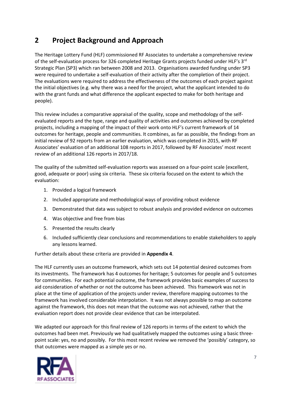# **2 Project Background and Approach**

The Heritage Lottery Fund (HLF) commissioned RF Associates to undertake a comprehensive review of the self-evaluation process for 326 completed Heritage Grants projects funded under HLF's 3rd Strategic Plan (SP3) which ran between 2008 and 2013. Organisations awarded funding under SP3 were required to undertake a self-evaluation of their activity after the completion of their project. The evaluations were required to address the effectiveness of the outcomes of each project against the initial objectives (e.g. why there was a need for the project, what the applicant intended to do with the grant funds and what difference the applicant expected to make for both heritage and people).

This review includes a comparative appraisal of the quality, scope and methodology of the selfevaluated reports and the type, range and quality of activities and outcomes achieved by completed projects, including a mapping of the impact of their work onto HLF's current framework of 14 outcomes for heritage, people and communities. It combines, as far as possible, the findings from an initial review of 92 reports from an earlier evaluation, which was completed in 2015, with RF Associates' evaluation of an additional 108 reports in 2017, followed by RF Associates' most recent review of an additional 126 reports in 2017/18.

The quality of the submitted self-evaluation reports was assessed on a four-point scale (excellent, good, adequate or poor) using six criteria. These six criteria focused on the extent to which the evaluation:

- 1. Provided a logical framework
- 2. Included appropriate and methodological ways of providing robust evidence
- 3. Demonstrated that data was subject to robust analysis and provided evidence on outcomes
- 4. Was objective and free from bias
- 5. Presented the results clearly
- 6. Included sufficiently clear conclusions and recommendations to enable stakeholders to apply any lessons learned.

Further details about these criteria are provided in **Appendix 4**.

The HLF currently uses an outcome framework, which sets out 14 potential desired outcomes from its investments. The framework has 4 outcomes for heritage; 5 outcomes for people and 5 outcomes for communities. For each potential outcome, the framework provides basic examples of success to aid consideration of whether or not the outcome has been achieved. This framework was not in place at the time of application of the projects under review, therefore mapping outcomes to the framework has involved considerable interpolation. It was not always possible to map an outcome against the framework, this does not mean that the outcome was not achieved, rather that the evaluation report does not provide clear evidence that can be interpolated.

We adapted our approach for this final review of 126 reports in terms of the extent to which the outcomes had been met. Previously we had qualitatively mapped the outcomes using a basic threepoint scale: yes, no and possibly. For this most recent review we removed the 'possibly' category, so that outcomes were mapped as a simple yes or no.

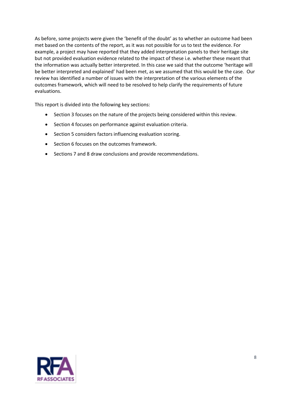As before, some projects were given the 'benefit of the doubt' as to whether an outcome had been met based on the contents of the report, as it was not possible for us to test the evidence. For example, a project may have reported that they added interpretation panels to their heritage site but not provided evaluation evidence related to the impact of these i.e. whether these meant that the information was actually better interpreted. In this case we said that the outcome 'heritage will be better interpreted and explained' had been met, as we assumed that this would be the case. Our review has identified a number of issues with the interpretation of the various elements of the outcomes framework, which will need to be resolved to help clarify the requirements of future evaluations.

This report is divided into the following key sections:

- Section 3 focuses on the nature of the projects being considered within this review.
- Section 4 focuses on performance against evaluation criteria.
- Section 5 considers factors influencing evaluation scoring.
- Section 6 focuses on the outcomes framework.
- <span id="page-7-0"></span>• Sections 7 and 8 draw conclusions and provide recommendations.

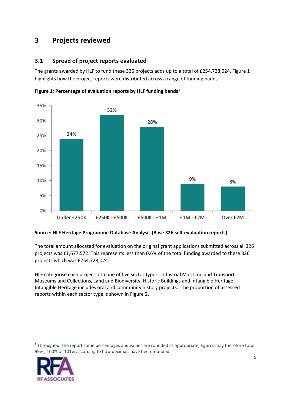# **3 Projects reviewed**

## <span id="page-8-0"></span>**3.1 Spread of project reports evaluated**

The grants awarded by HLF to fund these 326 projects adds up to a total of £254,728,024. Figure 1 highlights how the project reports were distributed across a range of funding bands.



**Figure 1: Percentage of evaluation reports by HLF funding bands[1](#page-8-1)**

#### **Source: HLF Heritage Programme Database Analysis (Base 326 self-evaluation reports)**

The total amount allocated for evaluation on the original grant applications submitted across all 326 projects was £1,677,572. This represents less than 0.6% of the total funding awarded to these 326 projects which was £254,728,024.

HLF categorise each project into one of five sector types: Industrial Maritime and Transport, Museums and Collections, Land and Biodiversity, Historic Buildings and Intangible Heritage. Intangible Heritage includes oral and community history projects. The proportion of assessed reports within each sector type is shown in Figure 2.

<span id="page-8-1"></span> $1$  Throughout the report some percentages and values are rounded as appropriate, figures may therefore total 99% , 100% or 101% according to how decimals have been rounded.



1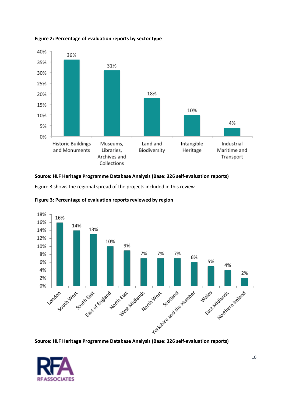

#### **Figure 2: Percentage of evaluation reports by sector type**

#### **Source: HLF Heritage Programme Database Analysis (Base: 326 self-evaluation reports)**

Figure 3 shows the regional spread of the projects included in this review.





**Source: HLF Heritage Programme Database Analysis (Base: 326 self-evaluation reports)**

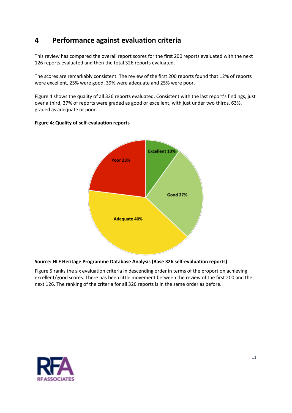# <span id="page-10-0"></span>**4 Performance against evaluation criteria**

This review has compared the overall report scores for the first 200 reports evaluated with the next 126 reports evaluated and then the total 326 reports evaluated.

The scores are remarkably consistent. The review of the first 200 reports found that 12% of reports were excellent, 25% were good, 39% were adequate and 25% were poor.

Figure 4 shows the quality of all 326 reports evaluated. Consistent with the last report's findings, just over a third, 37% of reports were graded as good or excellent, with just under two thirds, 63%, graded as adequate or poor.



#### **Figure 4: Quality of self-evaluation reports**

#### **Source: HLF Heritage Programme Database Analysis (Base 326 self-evaluation reports)**

Figure 5 ranks the six evaluation criteria in descending order in terms of the proportion achieving excellent/good scores. There has been little movement between the review of the first 200 and the next 126. The ranking of the criteria for all 326 reports is in the same order as before.

![](_page_10_Picture_8.jpeg)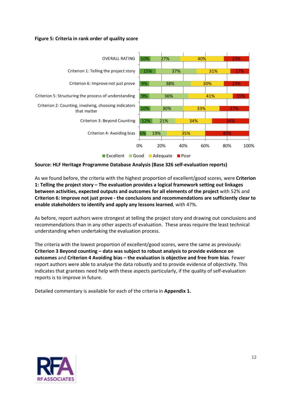#### **Figure 5: Criteria in rank order of quality score**

![](_page_11_Figure_1.jpeg)

#### **Source: HLF Heritage Programme Database Analysis (Base 326 self-evaluation reports)**

As we found before, the criteria with the highest proportion of excellent/good scores, were **Criterion 1: Telling the project story – The evaluation provides a logical framework setting out linkages between activities, expected outputs and outcomes for all elements of the project** with 52% and **Criterion 6: Improve not just prove - the conclusions and recommendations are sufficiently clear to enable stakeholders to identify and apply any lessons learned**, with 47%.

As before, report authors were strongest at telling the project story and drawing out conclusions and recommendations than in any other aspects of evaluation. These areas require the least technical understanding when undertaking the evaluation process.

The criteria with the lowest proportion of excellent/good scores, were the same as previously: **Criterion 3 Beyond counting – data was subject to robust analysis to provide evidence on outcomes** and **Criterion 4 Avoiding bias – the evaluation is objective and free from bias**. Fewer report authors were able to analyse the data robustly and to provide evidence of objectivity. This indicates that grantees need help with these aspects particularly, if the quality of self-evaluation reports is to improve in future.

Detailed commentary is available for each of the criteria in **Appendix 1.**

![](_page_11_Picture_7.jpeg)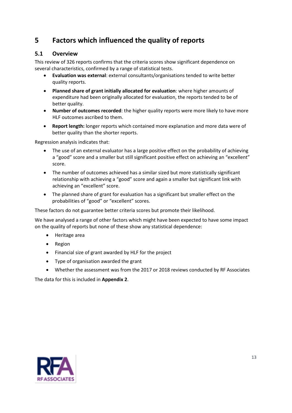# <span id="page-12-0"></span>**5 Factors which influenced the quality of reports**

## <span id="page-12-1"></span>**5.1 Overview**

This review of 326 reports confirms that the criteria scores show significant dependence on several characteristics, confirmed by a range of statistical tests.

- **Evaluation was external**: external consultants/organisations tended to write better quality reports.
- **Planned share of grant initially allocated for evaluation**: where higher amounts of expenditure had been originally allocated for evaluation, the reports tended to be of better quality.
- **Number of outcomes recorded**: the higher quality reports were more likely to have more HLF outcomes ascribed to them.
- **Report length:** longer reports which contained more explanation and more data were of better quality than the shorter reports.

Regression analysis indicates that:

- The use of an external evaluator has a large positive effect on the probability of achieving a "good" score and a smaller but still significant positive effect on achieving an "excellent" score.
- The number of outcomes achieved has a similar sized but more statistically significant relationship with achieving a "good" score and again a smaller but significant link with achieving an "excellent" score.
- The planned share of grant for evaluation has a significant but smaller effect on the probabilities of "good" or "excellent" scores.

These factors do not guarantee better criteria scores but promote their likelihood.

We have analysed a range of other factors which might have been expected to have some impact on the quality of reports but none of these show any statistical dependence:

- Heritage area
- Region
- Financial size of grant awarded by HLF for the project
- Type of organisation awarded the grant
- Whether the assessment was from the 2017 or 2018 reviews conducted by RF Associates

The data for this is included in **Appendix 2**.

![](_page_12_Picture_19.jpeg)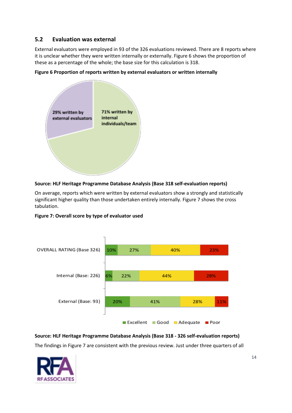## <span id="page-13-0"></span>**5.2 Evaluation was external**

External evaluators were employed in 93 of the 326 evaluations reviewed. There are 8 reports where it is unclear whether they were written internally or externally. Figure 6 shows the proportion of these as a percentage of the whole; the base size for this calculation is 318.

![](_page_13_Figure_2.jpeg)

**Figure 6 Proportion of reports written by external evaluators or written internally** 

#### **Source: HLF Heritage Programme Database Analysis (Base 318 self-evaluation reports)**

On average, reports which were written by external evaluators show a strongly and statistically significant higher quality than those undertaken entirely internally. Figure 7 shows the cross tabulation.

**Figure 7: Overall score by type of evaluator used** 

![](_page_13_Figure_7.jpeg)

**Source: HLF Heritage Programme Database Analysis (Base 318 - 326 self-evaluation reports)** The findings in Figure 7 are consistent with the previous review. Just under three quarters of all

![](_page_13_Picture_9.jpeg)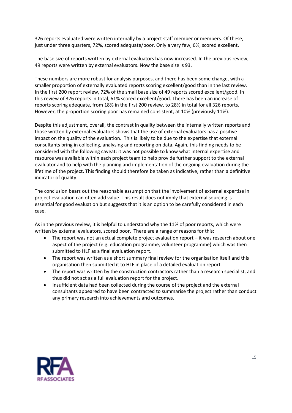326 reports evaluated were written internally by a project staff member or members. Of these, just under three quarters, 72%, scored adequate/poor. Only a very few, 6%, scored excellent.

The base size of reports written by external evaluators has now increased. In the previous review, 49 reports were written by external evaluators. Now the base size is 93.

These numbers are more robust for analysis purposes, and there has been some change, with a smaller proportion of externally evaluated reports scoring excellent/good than in the last review. In the first 200 report review, 72% of the small base size of 49 reports scored excellent/good. In this review of 326 reports in total, 61% scored excellent/good. There has been an increase of reports scoring adequate, from 18% in the first 200 review, to 28% in total for all 326 reports. However, the proportion scoring poor has remained consistent, at 10% (previously 11%).

Despite this adjustment, overall, the contrast in quality between the internally written reports and those written by external evaluators shows that the use of external evaluators has a positive impact on the quality of the evaluation. This is likely to be due to the expertise that external consultants bring in collecting, analysing and reporting on data. Again, this finding needs to be considered with the following caveat: it was not possible to know what internal expertise and resource was available within each project team to help provide further support to the external evaluator and to help with the planning and implementation of the ongoing evaluation during the lifetime of the project. This finding should therefore be taken as indicative, rather than a definitive indicator of quality.

The conclusion bears out the reasonable assumption that the involvement of external expertise in project evaluation can often add value. This result does not imply that external sourcing is essential for good evaluation but suggests that it is an option to be carefully considered in each case.

As in the previous review, it is helpful to understand why the 11% of poor reports, which were written by external evaluators, scored poor. There are a range of reasons for this:

- The report was not an actual complete project evaluation report it was research about one aspect of the project (e.g. education programme, volunteer programme) which was then submitted to HLF as a final evaluation report.
- The report was written as a short summary final review for the organisation itself and this organisation then submitted it to HLF in place of a detailed evaluation report.
- The report was written by the construction contractors rather than a research specialist, and thus did not act as a full evaluation report for the project.
- Insufficient data had been collected during the course of the project and the external consultants appeared to have been contracted to summarise the project rather than conduct any primary research into achievements and outcomes.

![](_page_14_Picture_10.jpeg)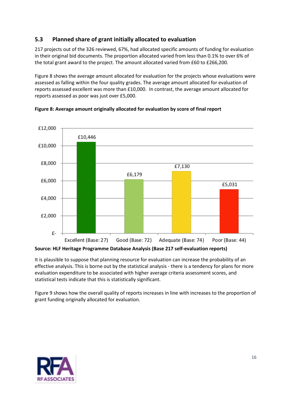## <span id="page-15-0"></span>**5.3 Planned share of grant initially allocated to evaluation**

217 projects out of the 326 reviewed, 67%, had allocated specific amounts of funding for evaluation in their original bid documents. The proportion allocated varied from less than 0.1% to over 6% of the total grant award to the project. The amount allocated varied from £60 to £266,200.

Figure 8 shows the average amount allocated for evaluation for the projects whose evaluations were assessed as falling within the four quality grades. The average amount allocated for evaluation of reports assessed excellent was more than £10,000. In contrast, the average amount allocated for reports assessed as poor was just over £5,000.

![](_page_15_Figure_3.jpeg)

**Figure 8: Average amount originally allocated for evaluation by score of final report**

It is plausible to suppose that planning resource for evaluation can increase the probability of an effective analysis. This is borne out by the statistical analysis - there is a tendency for plans for more evaluation expenditure to be associated with higher average criteria assessment scores, and statistical tests indicate that this is statistically significant.

Figure 9 shows how the overall quality of reports increases in line with increases to the proportion of grant funding originally allocated for evaluation.

![](_page_15_Picture_8.jpeg)

**Source: HLF Heritage Programme Database Analysis (Base 217 self-evaluation reports)**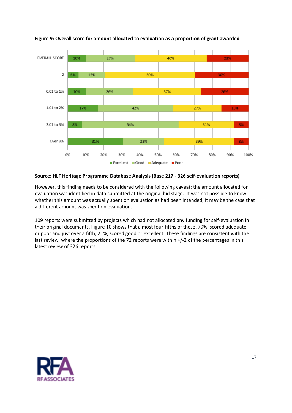![](_page_16_Figure_0.jpeg)

**Figure 9: Overall score for amount allocated to evaluation as a proportion of grant awarded**

#### **Source: HLF Heritage Programme Database Analysis (Base 217 - 326 self-evaluation reports)**

However, this finding needs to be considered with the following caveat: the amount allocated for evaluation was identified in data submitted at the original bid stage. It was not possible to know whether this amount was actually spent on evaluation as had been intended; it may be the case that a different amount was spent on evaluation.

109 reports were submitted by projects which had not allocated any funding for self-evaluation in their original documents. Figure 10 shows that almost four-fifths of these, 79%, scored adequate or poor and just over a fifth, 21%, scored good or excellent. These findings are consistent with the last review, where the proportions of the 72 reports were within +/-2 of the percentages in this latest review of 326 reports.

![](_page_16_Picture_5.jpeg)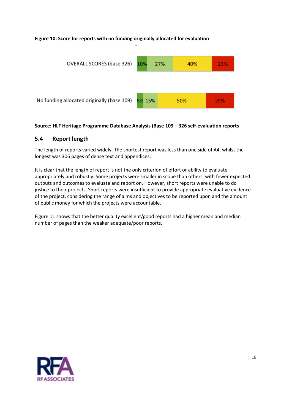#### **Figure 10: Score for reports with no funding originally allocated for evaluation**

![](_page_17_Figure_1.jpeg)

#### **Source: HLF Heritage Programme Database Analysis (Base 109 – 326 self-evaluation reports**

#### <span id="page-17-0"></span>**5.4 Report length**

The length of reports varied widely. The shortest report was less than one side of A4, whilst the longest was 306 pages of dense text and appendices.

It is clear that the length of report is not the only criterion of effort or ability to evaluate appropriately and robustly. Some projects were smaller in scope than others, with fewer expected outputs and outcomes to evaluate and report on. However, short reports were unable to do justice to their projects. Short reports were insufficient to provide appropriate evaluative evidence of the project, considering the range of aims and objectives to be reported upon and the amount of public money for which the projects were accountable.

Figure 11 shows that the better quality excellent/good reports had a higher mean and median number of pages than the weaker adequate/poor reports.

![](_page_17_Picture_7.jpeg)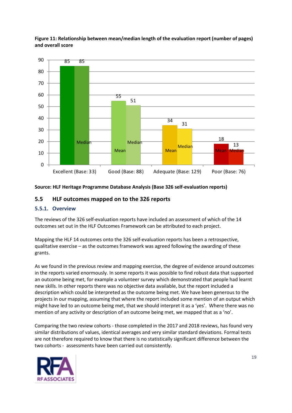![](_page_18_Figure_0.jpeg)

**Figure 11: Relationship between mean/median length of the evaluation report (number of pages) and overall score**

#### **Source: HLF Heritage Programme Database Analysis (Base 326 self-evaluation reports)**

#### <span id="page-18-0"></span>**5.5 HLF outcomes mapped on to the 326 reports**

#### <span id="page-18-1"></span>**5.5.1. Overview**

The reviews of the 326 self-evaluation reports have included an assessment of which of the 14 outcomes set out in the HLF Outcomes Framework can be attributed to each project.

Mapping the HLF 14 outcomes onto the 326 self-evaluation reports has been a retrospective, qualitative exercise – as the outcomes framework was agreed following the awarding of these grants.

As we found in the previous review and mapping exercise, the degree of evidence around outcomes in the reports varied enormously. In some reports it was possible to find robust data that supported an outcome being met, for example a volunteer survey which demonstrated that people had learnt new skills. In other reports there was no objective data available, but the report included a description which could be interpreted as the outcome being met. We have been generous to the projects in our mapping, assuming that where the report included some mention of an output which might have led to an outcome being met, that we should interpret it as a 'yes'. Where there was no mention of any activity or description of an outcome being met, we mapped that as a 'no'.

Comparing the two review cohorts - those completed in the 2017 and 2018 reviews, has found very similar distributions of values, identical averages and very similar standard deviations. Formal tests are not therefore required to know that there is no statistically significant difference between the two cohorts - assessments have been carried out consistently.

![](_page_18_Picture_9.jpeg)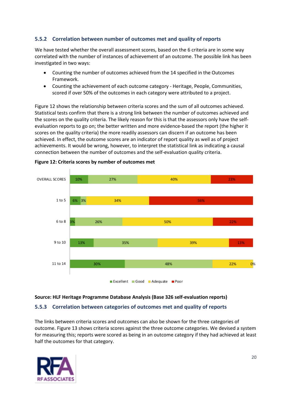#### <span id="page-19-0"></span>**5.5.2 Correlation between number of outcomes met and quality of reports**

We have tested whether the overall assessment scores, based on the 6 criteria are in some way correlated with the number of instances of achievement of an outcome. The possible link has been investigated in two ways:

- Counting the number of outcomes achieved from the 14 specified in the Outcomes Framework.
- Counting the achievement of each outcome category Heritage, People, Communities, scored if over 50% of the outcomes in each category were attributed to a project.

Figure 12 shows the relationship between criteria scores and the sum of all outcomes achieved. Statistical tests confirm that there is a strong link between the number of outcomes achieved and the scores on the quality criteria. The likely reason for this is that the assessors only have the selfevaluation reports to go on; the better written and more evidence-based the report (the higher it scores on the quality criteria) the more readily assessors can discern if an outcome has been achieved. In effect, the outcome scores are an indicator of report quality as well as of project achievements. It would be wrong, however, to interpret the statistical link as indicating a causal connection between the number of outcomes and the self-evaluation quality criteria.

![](_page_19_Figure_5.jpeg)

#### **Figure 12: Criteria scores by number of outcomes met**

#### **Source: HLF Heritage Programme Database Analysis (Base 326 self-evaluation reports)**

#### <span id="page-19-1"></span>**5.5.3 Correlation between categories of outcomes met and quality of reports**

The links between criteria scores and outcomes can also be shown for the three categories of outcome. Figure 13 shows criteria scores against the three outcome categories. We devised a system for measuring this; reports were scored as being in an outcome category if they had achieved at least half the outcomes for that category.

![](_page_19_Picture_10.jpeg)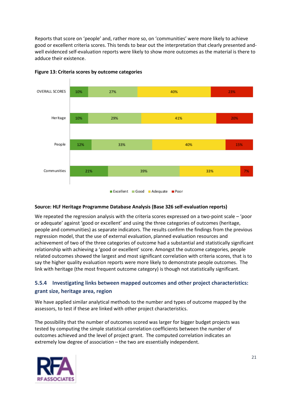Reports that score on 'people' and, rather more so, on 'communities' were more likely to achieve good or excellent criteria scores. This tends to bear out the interpretation that clearly presented andwell evidenced self-evaluation reports were likely to show more outcomes as the material is there to adduce their existence.

![](_page_20_Figure_1.jpeg)

#### **Figure 13: Criteria scores by outcome categories**

#### **Source: HLF Heritage Programme Database Analysis (Base 326 self-evaluation reports)**

We repeated the regression analysis with the criteria scores expressed on a two-point scale – 'poor or adequate' against 'good or excellent' and using the three categories of outcomes (heritage, people and communities) as separate indicators. The results confirm the findings from the previous regression model, that the use of external evaluation, planned evaluation resources and achievement of two of the three categories of outcome had a substantial and statistically significant relationship with achieving a 'good or excellent' score. Amongst the outcome categories, people related outcomes showed the largest and most significant correlation with criteria scores, that is to say the higher quality evaluation reports were more likely to demonstrate people outcomes. The link with heritage (the most frequent outcome category) is though not statistically significant.

## <span id="page-20-0"></span>**5.5.4 Investigating links between mapped outcomes and other project characteristics: grant size, heritage area, region**

We have applied similar analytical methods to the number and types of outcome mapped by the assessors, to test if these are linked with other project characteristics.

The possibility that the number of outcomes scored was larger for bigger budget projects was tested by computing the simple statistical correlation coefficients between the number of outcomes achieved and the level of project grant. The computed correlation indicates an extremely low degree of association – the two are essentially independent.

![](_page_20_Picture_8.jpeg)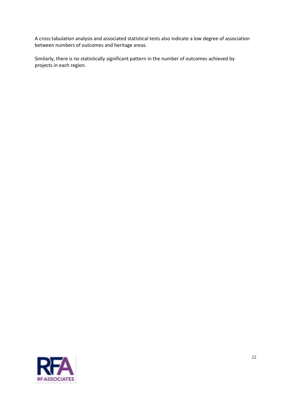A cross tabulation analysis and associated statistical tests also indicate a low degree of association between numbers of outcomes and heritage areas.

<span id="page-21-0"></span>Similarly, there is no statistically significant pattern in the number of outcomes achieved by projects in each region.

![](_page_21_Picture_2.jpeg)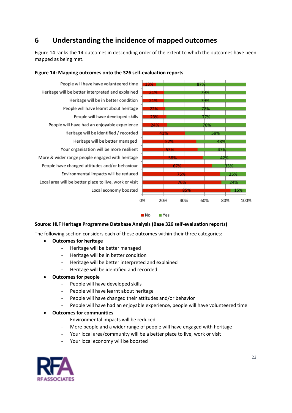# **6 Understanding the incidence of mapped outcomes**

Figure 14 ranks the 14 outcomes in descending order of the extent to which the outcomes have been mapped as being met.

![](_page_22_Figure_2.jpeg)

#### **Figure 14: Mapping outcomes onto the 326 self-evaluation reports**

 $N<sub>O</sub>$ **N**Yes

#### **Source: HLF Heritage Programme Database Analysis (Base 326 self-evaluation reports)**

The following section considers each of these outcomes within their three categories:

- **Outcomes for heritage**
	- Heritage will be better managed
	- Heritage will be in better condition
	- Heritage will be better interpreted and explained
	- Heritage will be identified and recorded
- **Outcomes for people**
	- People will have developed skills
	- People will have learnt about heritage
	- People will have changed their attitudes and/or behavior
	- People will have had an enjoyable experience, people will have volunteered time

• **Outcomes for communities**

- Environmental impacts will be reduced
- More people and a wider range of people will have engaged with heritage
- Your local area/community will be a better place to live, work or visit
- Your local economy will be boosted

![](_page_22_Picture_22.jpeg)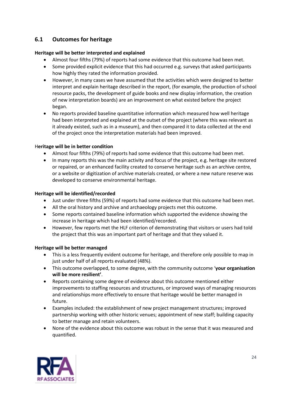## <span id="page-23-0"></span>**6.1 Outcomes for heritage**

#### **Heritage will be better interpreted and explained**

- Almost four fifths (79%) of reports had some evidence that this outcome had been met.
- Some provided explicit evidence that this had occurred e.g. surveys that asked participants how highly they rated the information provided.
- However, in many cases we have assumed that the activities which were designed to better interpret and explain heritage described in the report, (for example, the production of school resource packs, the development of guide books and new display information, the creation of new interpretation boards) are an improvement on what existed before the project began.
- No reports provided baseline quantitative information which measured how well heritage had been interpreted and explained at the outset of the project (where this was relevant as it already existed, such as in a museum), and then compared it to data collected at the end of the project once the interpretation materials had been improved.

#### H**eritage will be in better condition**

- Almost four fifths (79%) of reports had some evidence that this outcome had been met.
- In many reports this was the main activity and focus of the project, e.g. heritage site restored or repaired, or an enhanced facility created to conserve heritage such as an archive centre, or a website or digitization of archive materials created, or where a new nature reserve was developed to conserve environmental heritage.

#### **Heritage will be identified/recorded**

- Just under three fifths (59%) of reports had some evidence that this outcome had been met.
- All the oral history and archive and archaeology projects met this outcome.
- Some reports contained baseline information which supported the evidence showing the increase in heritage which had been identified/recorded.
- However, few reports met the HLF criterion of demonstrating that visitors or users had told the project that this was an important part of heritage and that they valued it.

#### **Heritage will be better managed**

- This is a less frequently evident outcome for heritage, and therefore only possible to map in just under half of all reports evaluated (48%).
- This outcome overlapped, to some degree, with the community outcome '**your organisation will be more resilient'**.
- Reports containing some degree of evidence about this outcome mentioned either improvements to staffing resources and structures, or improved ways of managing resources and relationships more effectively to ensure that heritage would be better managed in future.
- Examples included: the establishment of new project management structures; improved partnership working with other historic venues; appointment of new staff; building capacity to better manage and retain volunteers.
- <span id="page-23-1"></span>• None of the evidence about this outcome was robust in the sense that it was measured and quantified.

![](_page_23_Picture_20.jpeg)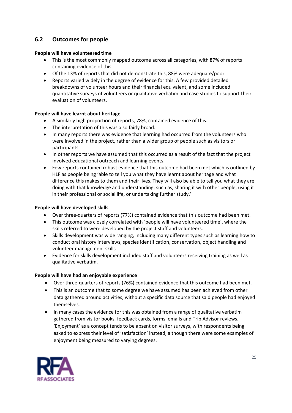## **6.2 Outcomes for people**

#### **People will have volunteered time**

- This is the most commonly mapped outcome across all categories, with 87% of reports containing evidence of this.
- Of the 13% of reports that did not demonstrate this, 88% were adequate/poor.
- Reports varied widely in the degree of evidence for this. A few provided detailed breakdowns of volunteer hours and their financial equivalent, and some included quantitative surveys of volunteers or qualitative verbatim and case studies to support their evaluation of volunteers.

#### **People will have learnt about heritage**

- A similarly high proportion of reports, 78%, contained evidence of this.
- The interpretation of this was also fairly broad.
- In many reports there was evidence that learning had occurred from the volunteers who were involved in the project, rather than a wider group of people such as visitors or participants.
- In other reports we have assumed that this occurred as a result of the fact that the project involved educational outreach and learning events.
- Few reports contained robust evidence that this outcome had been met which is outlined by HLF as people being 'able to tell you what they have learnt about heritage and what difference this makes to them and their lives. They will also be able to tell you what they are doing with that knowledge and understanding; such as, sharing it with other people, using it in their professional or social life, or undertaking further study.'

#### **People will have developed skills**

- Over three-quarters of reports (77%) contained evidence that this outcome had been met.
- This outcome was closely correlated with 'people will have volunteered time', where the skills referred to were developed by the project staff and volunteers.
- Skills development was wide ranging, including many different types such as learning how to conduct oral history interviews, species identification, conservation, object handling and volunteer management skills.
- Evidence for skills development included staff and volunteers receiving training as well as qualitative verbatim.

#### **People will have had an enjoyable experience**

- Over three-quarters of reports (76%) contained evidence that this outcome had been met.
- This is an outcome that to some degree we have assumed has been achieved from other data gathered around activities, without a specific data source that said people had enjoyed themselves.
- In many cases the evidence for this was obtained from a range of qualitative verbatim gathered from visitor books, feedback cards, forms, emails and Trip Advisor reviews. 'Enjoyment' as a concept tends to be absent on visitor surveys, with respondents being asked to express their level of 'satisfaction' instead, although there were some examples of enjoyment being measured to varying degrees.

![](_page_24_Picture_20.jpeg)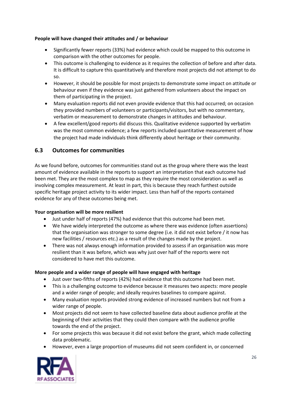#### **People will have changed their attitudes and / or behaviour**

- Significantly fewer reports (33%) had evidence which could be mapped to this outcome in comparison with the other outcomes for people.
- This outcome is challenging to evidence as it requires the collection of before and after data. It is difficult to capture this quantitatively and therefore most projects did not attempt to do so.
- However, it should be possible for most projects to demonstrate some impact on attitude or behaviour even if they evidence was just gathered from volunteers about the impact on them of participating in the project.
- Many evaluation reports did not even provide evidence that this had occurred; on occasion they provided numbers of volunteers or participants/visitors, but with no commentary, verbatim or measurement to demonstrate changes in attitudes and behaviour.
- A few excellent/good reports did discuss this. Qualitative evidence supported by verbatim was the most common evidence; a few reports included quantitative measurement of how the project had made individuals think differently about heritage or their community.

## <span id="page-25-0"></span>**6.3 Outcomes for communities**

As we found before, outcomes for communities stand out as the group where there was the least amount of evidence available in the reports to support an interpretation that each outcome had been met. They are the most complex to map as they require the most consideration as well as involving complex measurement. At least in part, this is because they reach furthest outside specific heritage project activity to its wider impact. Less than half of the reports contained evidence for any of these outcomes being met.

#### **Your organisation will be more resilient**

- Just under half of reports (47%) had evidence that this outcome had been met.
- We have widely interpreted the outcome as where there was evidence (often assertions) that the organisation was stronger to some degree (i.e. it did not exist before / it now has new facilities / resources etc.) as a result of the changes made by the project.
- There was not always enough information provided to assess if an organisation was more resilient than it was before, which was why just over half of the reports were not considered to have met this outcome.

#### **More people and a wider range of people will have engaged with heritage**

- Just over two-fifths of reports (42%) had evidence that this outcome had been met.
- This is a challenging outcome to evidence because it measures two aspects: more people and a wider range of people; and ideally requires baselines to compare against.
- Many evaluation reports provided strong evidence of increased numbers but not from a wider range of people.
- Most projects did not seem to have collected baseline data about audience profile at the beginning of their activities that they could then compare with the audience profile towards the end of the project.
- For some projects this was because it did not exist before the grant, which made collecting data problematic.
- However, even a large proportion of museums did not seem confident in, or concerned

![](_page_25_Picture_19.jpeg)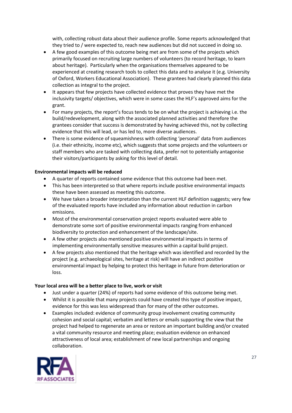with, collecting robust data about their audience profile. Some reports acknowledged that they tried to / were expected to, reach new audiences but did not succeed in doing so.

- A few good examples of this outcome being met are from some of the projects which primarily focused on recruiting large numbers of volunteers (to record heritage, to learn about heritage). Particularly when the organisations themselves appeared to be experienced at creating research tools to collect this data and to analyse it (e.g. University of Oxford, Workers Educational Association). These grantees had clearly planned this data collection as integral to the project.
- It appears that few projects have collected evidence that proves they have met the inclusivity targets/ objectives, which were in some cases the HLF's approved aims for the grant.
- For many projects, the report's focus tends to be on what the project is achieving i.e. the build/redevelopment, along with the associated planned activities and therefore the grantees consider that success is demonstrated by having achieved this, not by collecting evidence that this will lead, or has led to, more diverse audiences.
- There is some evidence of squeamishness with collecting 'personal' data from audiences (i.e. their ethnicity, income etc), which suggests that some projects and the volunteers or staff members who are tasked with collecting data, prefer not to potentially antagonise their visitors/participants by asking for this level of detail.

#### **Environmental impacts will be reduced**

- A quarter of reports contained some evidence that this outcome had been met.
- This has been interpreted so that where reports include positive environmental impacts these have been assessed as meeting this outcome.
- We have taken a broader interpretation than the current HLF definition suggests; very few of the evaluated reports have included any information about reduction in carbon emissions.
- Most of the environmental conservation project reports evaluated were able to demonstrate some sort of positive environmental impacts ranging from enhanced biodiversity to protection and enhancement of the landscape/site.
- A few other projects also mentioned positive environmental impacts in terms of implementing environmentally sensitive measures within a capital build project.
- A few projects also mentioned that the heritage which was identified and recorded by the project (e.g. archaeological sites, heritage at risk) will have an indirect positive environmental impact by helping to protect this heritage in future from deterioration or loss.

#### **Your local area will be a better place to live, work or visit**

- Just under a quarter (24%) of reports had some evidence of this outcome being met.
- Whilst it is possible that many projects could have created this type of positive impact, evidence for this was less widespread than for many of the other outcomes.
- Examples included: evidence of community group involvement creating community cohesion and social capital; verbatim and letters or emails supporting the view that the project had helped to regenerate an area or restore an important building and/or created a vital community resource and meeting place; evaluation evidence on enhanced attractiveness of local area; establishment of new local partnerships and ongoing collaboration.

![](_page_26_Picture_16.jpeg)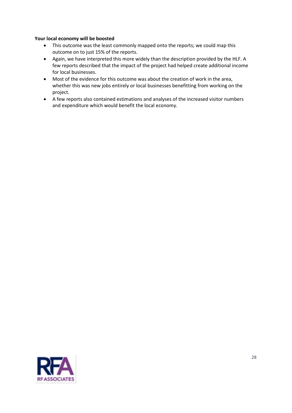#### **Your local economy will be boosted**

- This outcome was the least commonly mapped onto the reports; we could map this outcome on to just 15% of the reports.
- Again, we have interpreted this more widely than the description provided by the HLF. A few reports described that the impact of the project had helped create additional income for local businesses.
- Most of the evidence for this outcome was about the creation of work in the area, whether this was new jobs entirely or local businesses benefitting from working on the project.
- A few reports also contained estimations and analyses of the increased visitor numbers and expenditure which would benefit the local economy.

![](_page_27_Picture_5.jpeg)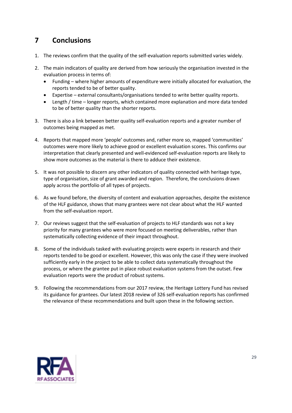# <span id="page-28-0"></span>**7 Conclusions**

- 1. The reviews confirm that the quality of the self-evaluation reports submitted varies widely.
- 2. The main indicators of quality are derived from how seriously the organisation invested in the evaluation process in terms of:
	- Funding where higher amounts of expenditure were initially allocated for evaluation, the reports tended to be of better quality.
	- Expertise external consultants/organisations tended to write better quality reports.
	- Length / time longer reports, which contained more explanation and more data tended to be of better quality than the shorter reports.
- 3. There is also a link between better quality self-evaluation reports and a greater number of outcomes being mapped as met.
- 4. Reports that mapped more 'people' outcomes and, rather more so, mapped 'communities' outcomes were more likely to achieve good or excellent evaluation scores. This confirms our interpretation that clearly presented and well-evidenced self-evaluation reports are likely to show more outcomes as the material is there to adduce their existence.
- 5. It was not possible to discern any other indicators of quality connected with heritage type, type of organisation, size of grant awarded and region. Therefore, the conclusions drawn apply across the portfolio of all types of projects.
- 6. As we found before, the diversity of content and evaluation approaches, despite the existence of the HLF guidance, shows that many grantees were not clear about what the HLF wanted from the self-evaluation report.
- 7. Our reviews suggest that the self-evaluation of projects to HLF standards was not a key priority for many grantees who were more focused on meeting deliverables, rather than systematically collecting evidence of their impact throughout.
- 8. Some of the individuals tasked with evaluating projects were experts in research and their reports tended to be good or excellent. However, this was only the case if they were involved sufficiently early in the project to be able to collect data systematically throughout the process, or where the grantee put in place robust evaluation systems from the outset. Few evaluation reports were the product of robust systems.
- 9. Following the recommendations from our 2017 review, the Heritage Lottery Fund has revised its guidance for grantees. Our latest 2018 review of 326 self-evaluation reports has confirmed the relevance of these recommendations and built upon these in the following section.

![](_page_28_Picture_13.jpeg)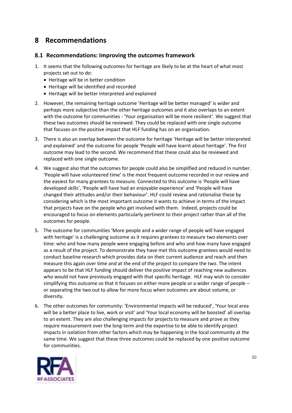# <span id="page-29-0"></span>**8 Recommendations**

## <span id="page-29-1"></span>**8.1 Recommendations: Improving the outcomes framework**

- 1. It seems that the following outcomes for heritage are likely to be at the heart of what most projects set out to do:
	- Heritage will be in better condition
	- Heritage will be identified and recorded
	- Heritage will be better interpreted and explained
- 2. However, the remaining heritage outcome 'Heritage will be better managed' is wider and perhaps more subjective than the other heritage outcomes and it also overlaps to an extent with the outcome for communities - 'Your organisation will be more resilient'. We suggest that these two outcomes should be reviewed. They could be replaced with one single outcome that focuses on the positive impact that HLF funding has on an organisation.
- 3. There is also an overlap between the outcome for heritage 'Heritage will be better interpreted and explained' and the outcome for people 'People will have learnt about heritage'. The first outcome may lead to the second. We recommend that these could also be reviewed and replaced with one single outcome.
- 4. We suggest also that the outcomes for people could also be simplified and reduced in number. 'People will have volunteered time' is the most frequent outcome recorded in our review and the easiest for many grantees to measure. Connected to this outcome is 'People will have developed skills', 'People will have had an enjoyable experience' and 'People will have changed their attitudes and/or their behaviour'. HLF could review and rationalise these by considering which is the most important outcome it wants to achieve in terms of the impact that projects have on the people who get involved with them. Indeed, projects could be encouraged to focus on elements particularly pertinent to their project rather than all of the outcomes for people.
- 5. The outcome for communities 'More people and a wider range of people will have engaged with heritage' is a challenging outcome as it requires grantees to measure two elements over time: who and how many people were engaging before and who and how many have engaged as a result of the project. To demonstrate they have met this outcome grantees would need to conduct baseline research which provides data on their current audience and reach and then measure this again over time and at the end of the project to compare the two. The intent appears to be that HLF funding should deliver the positive impact of reaching new audiences who would not have previously engaged with that specific heritage. HLF may wish to consider simplifying this outcome so that it focuses on either more people or a wider range of people – or separating the two out to allow for more focus when outcomes are about volume, or diversity.
- 6. The other outcomes for community: 'Environmental impacts will be reduced', 'Your local area will be a better place to live, work or visit' and 'Your local economy will be boosted' all overlap to an extent. They are also challenging impacts for projects to measure and prove as they require measurement over the long-term and the expertise to be able to identify project impacts in isolation from other factors which may be happening in the local community at the same time. We suggest that these three outcomes could be replaced by one positive outcome for communities.

![](_page_29_Picture_11.jpeg)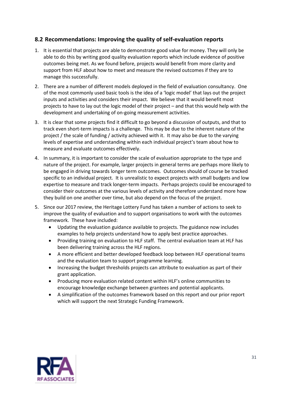## <span id="page-30-0"></span>**8.2 Recommendations: Improving the quality of self-evaluation reports**

- 1. It is essential that projects are able to demonstrate good value for money. They will only be able to do this by writing good quality evaluation reports which include evidence of positive outcomes being met. As we found before, projects would benefit from more clarity and support from HLF about how to meet and measure the revised outcomes if they are to manage this successfully.
- 2. There are a number of different models deployed in the field of evaluation consultancy. One of the most commonly used basic tools is the idea of a 'logic model' that lays out the project inputs and activities and considers their impact. We believe that it would benefit most projects to have to lay out the logic model of their project – and that this would help with the development and undertaking of on-going measurement activities.
- 3. It is clear that some projects find it difficult to go beyond a discussion of outputs, and that to track even short-term impacts is a challenge. This may be due to the inherent nature of the project / the scale of funding / activity achieved with it. It may also be due to the varying levels of expertise and understanding within each individual project's team about how to measure and evaluate outcomes effectively.
- 4. In summary, it is important to consider the scale of evaluation appropriate to the type and nature of the project. For example, larger projects in general terms are perhaps more likely to be engaged in driving towards longer term outcomes. Outcomes should of course be tracked specific to an individual project. It is unrealistic to expect projects with small budgets and low expertise to measure and track longer-term impacts. Perhaps projects could be encouraged to consider their outcomes at the various levels of activity and therefore understand more how they build on one another over time, but also depend on the focus of the project.
- 5. Since our 2017 review, the Heritage Lottery Fund has taken a number of actions to seek to improve the quality of evaluation and to support organisations to work with the outcomes framework. These have included:
	- Updating the evaluation guidance available to projects. The guidance now includes examples to help projects understand how to apply best practice approaches.
	- Providing training on evaluation to HLF staff. The central evaluation team at HLF has been delivering training across the HLF regions.
	- A more efficient and better developed feedback loop between HLF operational teams and the evaluation team to support programme learning.
	- Increasing the budget thresholds projects can attribute to evaluation as part of their grant application.
	- Producing more evaluation related content within HLF's online communities to encourage knowledge exchange between grantees and potential applicants.
	- A simplification of the outcomes framework based on this report and our prior report which will support the next Strategic Funding Framework.

![](_page_30_Picture_12.jpeg)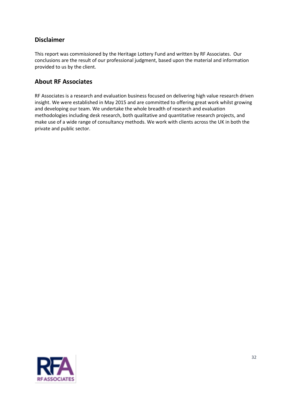## **Disclaimer**

This report was commissioned by the Heritage Lottery Fund and written by RF Associates. Our conclusions are the result of our professional judgment, based upon the material and information provided to us by the client.

## **About RF Associates**

RF Associates is a research and evaluation business focused on delivering high value research driven insight. We were established in May 2015 and are committed to offering great work whilst growing and developing our team. We undertake the whole breadth of research and evaluation methodologies including desk research, both qualitative and quantitative research projects, and make use of a wide range of consultancy methods. We work with clients across the UK in both the private and public sector.

![](_page_31_Picture_4.jpeg)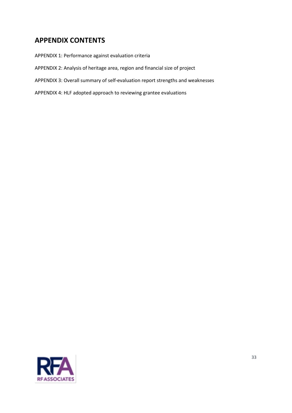# <span id="page-32-0"></span>**APPENDIX CONTENTS**

APPENDIX 1: Performance against evaluation criteria APPENDIX 2: Analysis of heritage area, region and financial size of project APPENDIX 3: Overall summary of self-evaluation report strengths and weaknesses APPENDIX 4: HLF adopted approach to reviewing grantee evaluations

![](_page_32_Picture_2.jpeg)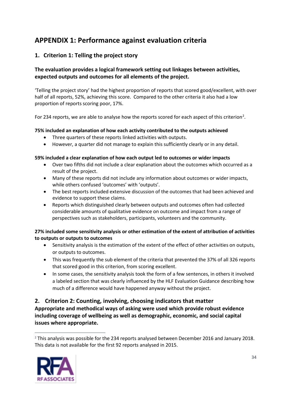# <span id="page-33-0"></span>**APPENDIX 1: Performance against evaluation criteria**

## <span id="page-33-1"></span>**1. Criterion 1: Telling the project story**

## **The evaluation provides a logical framework setting out linkages between activities, expected outputs and outcomes for all elements of the project.**

'Telling the project story' had the highest proportion of reports that scored good/excellent, with over half of all reports, 52%, achieving this score. Compared to the other criteria it also had a low proportion of reports scoring poor, 17%.

For [2](#page-33-3)34 reports, we are able to analyse how the reports scored for each aspect of this criterion<sup>2</sup>.

#### **75% included an explanation of how each activity contributed to the outputs achieved**

- Three quarters of these reports linked activities with outputs.
- However, a quarter did not manage to explain this sufficiently clearly or in any detail.

#### **59% included a clear explanation of how each output led to outcomes or wider impacts**

- Over two fifths did not include a clear explanation about the outcomes which occurred as a result of the project.
- Many of these reports did not include any information about outcomes or wider impacts, while others confused 'outcomes' with 'outputs'.
- The best reports included extensive discussion of the outcomes that had been achieved and evidence to support these claims.
- Reports which distinguished clearly between outputs and outcomes often had collected considerable amounts of qualitative evidence on outcome and impact from a range of perspectives such as stakeholders, participants, volunteers and the community.

#### **27% included some sensitivity analysis or other estimation of the extent of attribution of activities to outputs or outputs to outcomes**

- Sensitivity analysis is the estimation of the extent of the effect of other activities on outputs, or outputs to outcomes.
- This was frequently the sub element of the criteria that prevented the 37% of all 326 reports that scored good in this criterion, from scoring excellent.
- In some cases, the sensitivity analysis took the form of a few sentences, in others it involved a labeled section that was clearly influenced by the HLF Evaluation Guidance describing how much of a difference would have happened anyway without the project.

## <span id="page-33-2"></span>**2. Criterion 2: Counting, involving, choosing indicators that matter**

**Appropriate and methodical ways of asking were used which provide robust evidence including coverage of wellbeing as well as demographic, economic, and social capital issues where appropriate.**

<span id="page-33-3"></span> $2$  This analysis was possible for the 234 reports analysed between December 2016 and January 2018. This data is not available for the first 92 reports analysed in 2015.

![](_page_33_Picture_20.jpeg)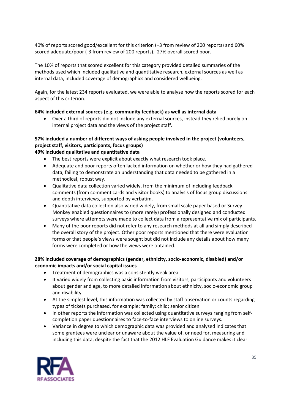40% of reports scored good/excellent for this criterion (+3 from review of 200 reports) and 60% scored adequate/poor (-3 from review of 200 reports). 27% overall scored poor.

The 10% of reports that scored excellent for this category provided detailed summaries of the methods used which included qualitative and quantitative research, external sources as well as internal data, included coverage of demographics and considered wellbeing.

Again, for the latest 234 reports evaluated, we were able to analyse how the reports scored for each aspect of this criterion.

#### **64% included external sources (e.g. community feedback) as well as internal data**

• Over a third of reports did not include any external sources, instead they relied purely on internal project data and the views of the project staff.

#### **57% included a number of different ways of asking people involved in the project (volunteers, project staff, visitors, participants, focus groups) 49% included qualitative and quantitative data**

- The best reports were explicit about exactly what research took place.
- Adequate and poor reports often lacked information on whether or how they had gathered data, failing to demonstrate an understanding that data needed to be gathered in a methodical, robust way.
- Qualitative data collection varied widely, from the minimum of including feedback comments (from comment cards and visitor books) to analysis of focus group discussions and depth interviews, supported by verbatim.
- Quantitative data collection also varied widely, from small scale paper based or Survey Monkey enabled questionnaires to (more rarely) professionally designed and conducted surveys where attempts were made to collect data from a representative mix of participants.
- Many of the poor reports did not refer to any research methods at all and simply described the overall story of the project. Other poor reports mentioned that there were evaluation forms or that people's views were sought but did not include any details about how many forms were completed or how the views were obtained.

#### **28% included coverage of demographics (gender, ethnicity, socio-economic, disabled) and/or economic impacts and/or social capital issues**

- Treatment of demographics was a consistently weak area.
- It varied widely from collecting basic information from visitors, participants and volunteers about gender and age, to more detailed information about ethnicity, socio-economic group and disability.
- At the simplest level, this information was collected by staff observation or counts regarding types of tickets purchased, for example: family; child; senior citizen.
- In other reports the information was collected using quantitative surveys ranging from selfcompletion paper questionnaires to face-to-face interviews to online surveys.
- Variance in degree to which demographic data was provided and analysed indicates that some grantees were unclear or unaware about the value of, or need for, measuring and including this data, despite the fact that the 2012 HLF Evaluation Guidance makes it clear

![](_page_34_Picture_17.jpeg)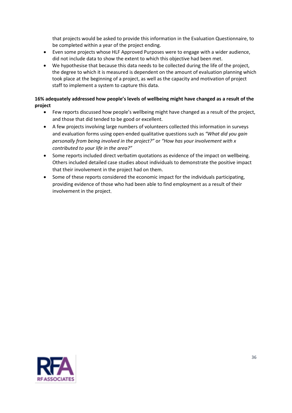that projects would be asked to provide this information in the Evaluation Questionnaire, to be completed within a year of the project ending.

- Even some projects whose HLF Approved Purposes were to engage with a wider audience, did not include data to show the extent to which this objective had been met.
- We hypothesise that because this data needs to be collected during the life of the project, the degree to which it is measured is dependent on the amount of evaluation planning which took place at the beginning of a project, as well as the capacity and motivation of project staff to implement a system to capture this data.

#### **16% adequately addressed how people's levels of wellbeing might have changed as a result of the project**

- Few reports discussed how people's wellbeing might have changed as a result of the project, and those that did tended to be good or excellent.
- A few projects involving large numbers of volunteers collected this information in surveys and evaluation forms using open-ended qualitative questions such as *"What did you gain personally from being involved in the project?"* or *"How has your involvement with x contributed to your life in the area?"*
- Some reports included direct verbatim quotations as evidence of the impact on wellbeing. Others included detailed case studies about individuals to demonstrate the positive impact that their involvement in the project had on them.
- Some of these reports considered the economic impact for the individuals participating, providing evidence of those who had been able to find employment as a result of their involvement in the project.

![](_page_35_Picture_8.jpeg)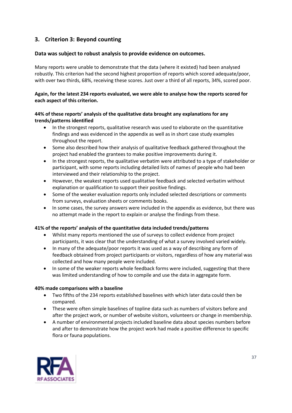## <span id="page-36-0"></span>**3. Criterion 3: Beyond counting**

#### **Data was subject to robust analysis to provide evidence on outcomes.**

Many reports were unable to demonstrate that the data (where it existed) had been analysed robustly. This criterion had the second highest proportion of reports which scored adequate/poor, with over two thirds, 68%, receiving these scores. Just over a third of all reports, 34%, scored poor.

#### **Again, for the latest 234 reports evaluated, we were able to analyse how the reports scored for each aspect of this criterion.**

#### **44% of these reports' analysis of the qualitative data brought any explanations for any trends/patterns identified**

- In the strongest reports, qualitative research was used to elaborate on the quantitative findings and was evidenced in the appendix as well as in short case study examples throughout the report.
- Some also described how their analysis of qualitative feedback gathered throughout the project had enabled the grantees to make positive improvements during it.
- In the strongest reports, the qualitative verbatim were attributed to a type of stakeholder or participant, with some reports including detailed lists of names of people who had been interviewed and their relationship to the project.
- However, the weakest reports used qualitative feedback and selected verbatim without explanation or qualification to support their positive findings.
- Some of the weaker evaluation reports only included selected descriptions or comments from surveys, evaluation sheets or comments books.
- In some cases, the survey answers were included in the appendix as evidence, but there was no attempt made in the report to explain or analyse the findings from these.

#### **41% of the reports' analysis of the quantitative data included trends/patterns**

- Whilst many reports mentioned the use of surveys to collect evidence from project participants, it was clear that the understanding of what a survey involved varied widely.
- In many of the adequate/poor reports it was used as a way of describing any form of feedback obtained from project participants or visitors, regardless of how any material was collected and how many people were included.
- In some of the weaker reports whole feedback forms were included, suggesting that there was limited understanding of how to compile and use the data in aggregate form.

#### **40% made comparisons with a baseline**

- Two fifths of the 234 reports established baselines with which later data could then be compared.
- These were often simple baselines of topline data such as numbers of visitors before and after the project work, or number of website visitors, volunteers or change in membership.
- A number of environmental projects included baseline data about species numbers before and after to demonstrate how the project work had made a positive difference to specific flora or fauna populations.

![](_page_36_Picture_19.jpeg)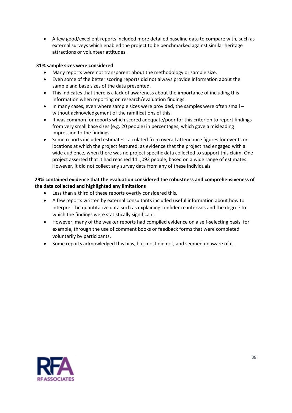• A few good/excellent reports included more detailed baseline data to compare with, such as external surveys which enabled the project to be benchmarked against similar heritage attractions or volunteer attitudes.

#### **31% sample sizes were considered**

- Many reports were not transparent about the methodology or sample size.
- Even some of the better scoring reports did not always provide information about the sample and base sizes of the data presented.
- This indicates that there is a lack of awareness about the importance of including this information when reporting on research/evaluation findings.
- In many cases, even where sample sizes were provided, the samples were often small without acknowledgement of the ramifications of this.
- It was common for reports which scored adequate/poor for this criterion to report findings from very small base sizes (e.g. 20 people) in percentages, which gave a misleading impression to the findings.
- Some reports included estimates calculated from overall attendance figures for events or locations at which the project featured, as evidence that the project had engaged with a wide audience, when there was no project specific data collected to support this claim. One project asserted that it had reached 111,092 people, based on a wide range of estimates. However, it did not collect any survey data from any of these individuals.

#### **29% contained evidence that the evaluation considered the robustness and comprehensiveness of the data collected and highlighted any limitations**

- Less than a third of these reports overtly considered this.
- A few reports written by external consultants included useful information about how to interpret the quantitative data such as explaining confidence intervals and the degree to which the findings were statistically significant.
- However, many of the weaker reports had compiled evidence on a self-selecting basis, for example, through the use of comment books or feedback forms that were completed voluntarily by participants.
- Some reports acknowledged this bias, but most did not, and seemed unaware of it.

![](_page_37_Picture_13.jpeg)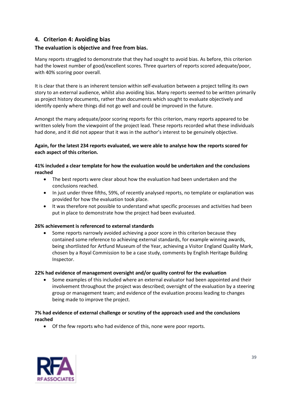## <span id="page-38-0"></span>**4. Criterion 4: Avoiding bias**

#### **The evaluation is objective and free from bias.**

Many reports struggled to demonstrate that they had sought to avoid bias. As before, this criterion had the lowest number of good/excellent scores. Three quarters of reports scored adequate/poor, with 40% scoring poor overall.

It is clear that there is an inherent tension within self-evaluation between a project telling its own story to an external audience, whilst also avoiding bias. Many reports seemed to be written primarily as project history documents, rather than documents which sought to evaluate objectively and identify openly where things did not go well and could be improved in the future.

Amongst the many adequate/poor scoring reports for this criterion, many reports appeared to be written solely from the viewpoint of the project lead. These reports recorded what these individuals had done, and it did not appear that it was in the author's interest to be genuinely objective.

**Again, for the latest 234 reports evaluated, we were able to analyse how the reports scored for each aspect of this criterion.**

**41% included a clear template for how the evaluation would be undertaken and the conclusions reached**

- The best reports were clear about how the evaluation had been undertaken and the conclusions reached.
- In just under three fifths, 59%, of recently analysed reports, no template or explanation was provided for how the evaluation took place.
- It was therefore not possible to understand what specific processes and activities had been put in place to demonstrate how the project had been evaluated.

#### **26% achievement is referenced to external standards**

• Some reports narrowly avoided achieving a poor score in this criterion because they contained some reference to achieving external standards, for example winning awards, being shortlisted for Artfund Museum of the Year, achieving a Visitor England Quality Mark, chosen by a Royal Commission to be a case study, comments by English Heritage Building Inspector.

#### **22% had evidence of management oversight and/or quality control for the evaluation**

• Some examples of this included where an external evaluator had been appointed and their involvement throughout the project was described; oversight of the evaluation by a steering group or management team; and evidence of the evaluation process leading to changes being made to improve the project.

#### **7% had evidence of external challenge or scrutiny of the approach used and the conclusions reached**

• Of the few reports who had evidence of this, none were poor reports.

![](_page_38_Picture_16.jpeg)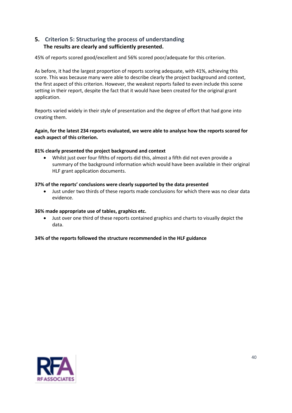## **5. Criterion 5: Structuring the process of understanding The results are clearly and sufficiently presented.**

45% of reports scored good/excellent and 56% scored poor/adequate for this criterion.

As before, it had the largest proportion of reports scoring adequate, with 41%, achieving this score. This was because many were able to describe clearly the project background and context, the first aspect of this criterion. However, the weakest reports failed to even include this scene setting in their report, despite the fact that it would have been created for the original grant application.

Reports varied widely in their style of presentation and the degree of effort that had gone into creating them.

#### **Again, for the latest 234 reports evaluated, we were able to analyse how the reports scored for each aspect of this criterion.**

#### **81% clearly presented the project background and context**

• Whilst just over four fifths of reports did this, almost a fifth did not even provide a summary of the background information which would have been available in their original HLF grant application documents.

#### **37% of the reports' conclusions were clearly supported by the data presented**

• Just under two thirds of these reports made conclusions for which there was no clear data evidence.

#### **36% made appropriate use of tables, graphics etc.**

• Just over one third of these reports contained graphics and charts to visually depict the data.

#### **34% of the reports followed the structure recommended in the HLF guidance**

![](_page_39_Picture_12.jpeg)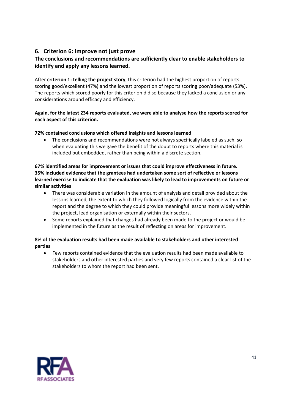## <span id="page-40-0"></span>**6. Criterion 6: Improve not just prove**

## **The conclusions and recommendations are sufficiently clear to enable stakeholders to identify and apply any lessons learned.**

After **criterion 1: telling the project story**, this criterion had the highest proportion of reports scoring good/excellent (47%) and the lowest proportion of reports scoring poor/adequate (53%). The reports which scored poorly for this criterion did so because they lacked a conclusion or any considerations around efficacy and efficiency.

#### **Again, for the latest 234 reports evaluated, we were able to analyse how the reports scored for each aspect of this criterion.**

#### **72% contained conclusions which offered insights and lessons learned**

• The conclusions and recommendations were not always specifically labeled as such, so when evaluating this we gave the benefit of the doubt to reports where this material is included but embedded, rather than being within a discrete section.

#### **67% identified areas for improvement or issues that could improve effectiveness in future. 35% included evidence that the grantees had undertaken some sort of reflective or lessons learned exercise to indicate that the evaluation was likely to lead to improvements on future or similar activities**

- There was considerable variation in the amount of analysis and detail provided about the lessons learned, the extent to which they followed logically from the evidence within the report and the degree to which they could provide meaningful lessons more widely within the project, lead organisation or externally within their sectors.
- Some reports explained that changes had already been made to the project or would be implemented in the future as the result of reflecting on areas for improvement.

#### **8% of the evaluation results had been made available to stakeholders and other interested parties**

<span id="page-40-1"></span>• Few reports contained evidence that the evaluation results had been made available to stakeholders and other interested parties and very few reports contained a clear list of the stakeholders to whom the report had been sent.

![](_page_40_Picture_11.jpeg)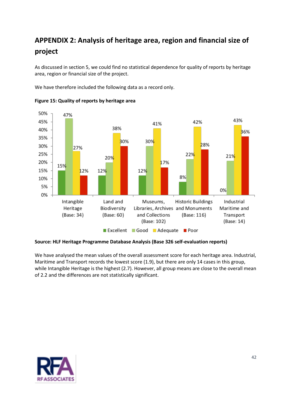# **APPENDIX 2: Analysis of heritage area, region and financial size of project**

As discussed in section 5, we could find no statistical dependence for quality of reports by heritage area, region or financial size of the project.

We have therefore included the following data as a record only.

![](_page_41_Figure_3.jpeg)

**Figure 15: Quality of reports by heritage area**

#### **Source: HLF Heritage Programme Database Analysis (Base 326 self-evaluation reports)**

We have analysed the mean values of the overall assessment score for each heritage area. Industrial, Maritime and Transport records the lowest score (1.9), but there are only 14 cases in this group, while Intangible Heritage is the highest (2.7). However, all group means are close to the overall mean of 2.2 and the differences are not statistically significant.

![](_page_41_Picture_7.jpeg)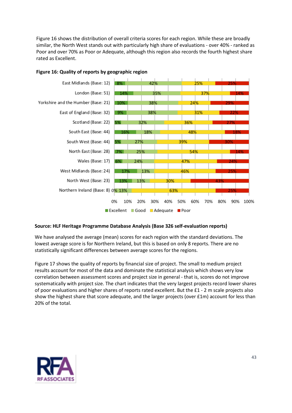Figure 16 shows the distribution of overall criteria scores for each region. While these are broadly similar, the North West stands out with particularly high share of evaluations - over 40% - ranked as Poor and over 70% as Poor or Adequate, although this region also records the fourth highest share rated as Excellent.

![](_page_42_Figure_1.jpeg)

#### **Figure 16: Quality of reports by geographic region**

#### **Source: HLF Heritage Programme Database Analysis (Base 326 self-evaluation reports)**

We have analysed the average (mean) scores for each region with the standard deviations. The lowest average score is for Northern Ireland, but this is based on only 8 reports. There are no statistically significant differences between average scores for the regions.

Figure 17 shows the quality of reports by financial size of project. The small to medium project results account for most of the data and dominate the statistical analysis which shows very low correlation between assessment scores and project size in general - that is, scores do not improve systematically with project size. The chart indicates that the very largest projects record lower shares of poor evaluations and higher shares of reports rated excellent. But the £1 - 2 m scale projects also show the highest share that score adequate, and the larger projects (over £1m) account for less than 20% of the total.

![](_page_42_Picture_6.jpeg)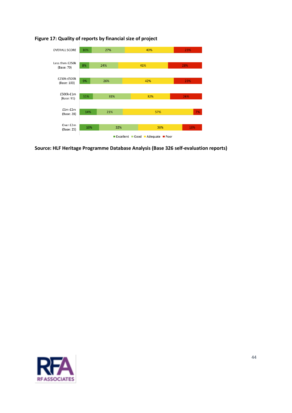![](_page_43_Figure_0.jpeg)

## **Figure 17: Quality of reports by financial size of project**

**Source: HLF Heritage Programme Database Analysis (Base 326 self-evaluation reports)**

![](_page_43_Picture_3.jpeg)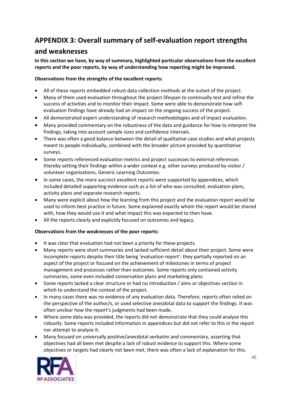# <span id="page-44-0"></span>**APPENDIX 3: Overall summary of self-evaluation report strengths**

## **and weaknesses**

**In this section we have, by way of summary, highlighted particular observations from the excellent reports and the poor reports, by way of understanding how reporting might be improved.**

## **Observations from the strengths of the excellent reports:**

- All of these reports embedded robust data collection methods at the outset of the project.
- Many of them used evaluation throughout the project lifespan to continually test and refine the success of activities and to monitor their impact. Some were able to demonstrate how selfevaluation findings have already had an impact on the ongoing success of the project.
- All demonstrated expert understanding of research methodologies and of impact evaluation.
- Many provided commentary on the robustness of the data and guidance for how to interpret the findings, taking into account sample sizes and confidence intervals.
- There was often a good balance between the detail of qualitative case studies and what projects meant to people individually, combined with the broader picture provided by quantitative surveys.
- Some reports referenced evaluation metrics and project successes to external references thereby setting their findings within a wider context e.g. other surveys produced by visitor / volunteer organisations, Generic Learning Outcomes.
- In some cases, the more succinct excellent reports were supported by appendices, which included detailed supporting evidence such as a list of who was consulted, evaluation plans, activity plans and separate research reports.
- Many were explicit about how the learning from this project and the evaluation report would be used to inform best practice in future. Some explained exactly whom the report would be shared with, how they would use it and what impact this was expected to then have.
- All the reports clearly and explicitly focused on outcomes and legacy.

#### **Observations from the weaknesses of the poor reports:**

- It was clear that evaluation had not been a priority for these projects.
- Many reports were short summaries and lacked sufficient detail about their project. Some were incomplete reports despite their title being 'evaluation report': they partially reported on an aspect of the project or focused on the achievement of milestones in terms of project management and processes rather than outcomes. Some reports only contained activity summaries, some even included conservation plans and marketing plans.
- Some reports lacked a clear structure or had no introduction / aims or objectives section in which to understand the context of the project.
- In many cases there was no evidence of any evaluation data. Therefore, reports often relied on the perspective of the author/s, or used selective anecdotal data to support the findings. It was often unclear how the report's judgments had been made.
- Where some data was provided, the reports did not demonstrate that they could analyse this robustly. Some reports included information in appendices but did not refer to this in the report nor attempt to analyse it.
- Many focused on universally positive/anecdotal verbatim and commentary, asserting that objectives had all been met despite a lack of robust evidence to support this. Where some objectives or targets had clearly not been met, there was often a lack of explanation for this.

![](_page_44_Picture_20.jpeg)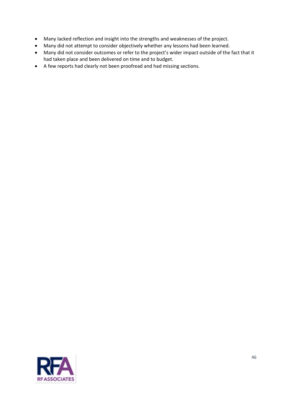- Many lacked reflection and insight into the strengths and weaknesses of the project.
- Many did not attempt to consider objectively whether any lessons had been learned.
- Many did not consider outcomes or refer to the project's wider impact outside of the fact that it had taken place and been delivered on time and to budget.
- A few reports had clearly not been proofread and had missing sections.

![](_page_45_Picture_4.jpeg)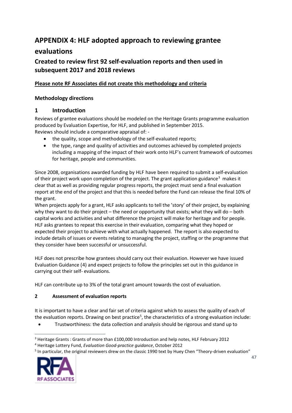# <span id="page-46-0"></span>**APPENDIX 4: HLF adopted approach to reviewing grantee**

# **evaluations**

# **Created to review first 92 self-evaluation reports and then used in subsequent 2017 and 2018 reviews**

## **Please note RF Associates did not create this methodology and criteria**

## **Methodology directions**

## **1 Introduction**

Reviews of grantee evaluations should be modeled on the Heritage Grants programme evaluation produced by Evaluation Expertise, for HLF, and published in September 2015. Reviews should include a comparative appraisal of: -

- the quality, scope and methodology of the self-evaluated reports;
- the type, range and quality of activities and outcomes achieved by completed projects including a mapping of the impact of their work onto HLF's current framework of outcomes for heritage, people and communities.

Since 2008, organisations awarded funding by HLF have been required to submit a self-evaluation of their project work upon completion of the project. The grant application guidance<sup>[3](#page-46-1)</sup> makes it clear that as well as providing regular progress reports, the project must send a final evaluation report at the end of the project and that this is needed before the Fund can release the final 10% of the grant.

When projects apply for a grant, HLF asks applicants to tell the 'story' of their project, by explaining why they want to do their project – the need or opportunity that exists; what they will do – both capital works and activities and what difference the project will make for heritage and for people. HLF asks grantees to repeat this exercise in their evaluation, comparing what they hoped or expected their project to achieve with what actually happened. The report is also expected to include details of issues or events relating to managing the project, staffing or the programme that they consider have been successful or unsuccessful.

HLF does not prescribe how grantees should carry out their evaluation. However we have issued [Evaluation Guidance](http://www.hlf.org.uk/HowToApply/goodpractice/Pages/Evaluation_guidance.aspx) ([4](#page-46-2)) and expect projects to follow the principles set out in this guidance in carrying out their self- evaluations.

HLF can contribute up to 3% of the total grant amount towards the cost of evaluation.

## **2 Assessment of evaluation reports**

It is important to have a clear and fair set of criteria against which to assess the quality of each of the evaluation reports. Drawing on best practice<sup>[5](#page-46-3)</sup>, the characteristics of a strong evaluation include:

• Trustworthiness: the data collection and analysis should be rigorous and stand up to

<span id="page-46-3"></span><sup>5</sup> In particular, the original reviewers drew on the classic 1990 text by Huey Chen "Theory-driven evaluation"

![](_page_46_Picture_19.jpeg)

<span id="page-46-1"></span><sup>&</sup>lt;sup>3</sup> Heritage Grants : Grants of more than £100,000 Introduction and help notes, HLF February 2012

<span id="page-46-2"></span><sup>4</sup> Heritage Lottery Fund, *Evaluation Good-practice guidance*, October 2012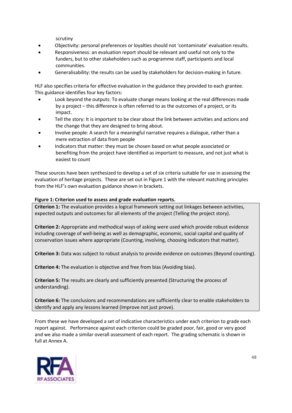scrutiny

- Objectivity: personal preferences or loyalties should not 'contaminate' evaluation results.
- Responsiveness: an evaluation report should be relevant and useful not only to the funders, but to other stakeholders such as programme staff, participants and local communities.
- Generalisability: the results can be used by stakeholders for decision-making in future.

HLF also specifies criteria for effective evaluation in the guidance they provided to each grantee. This guidance identifies four key factors:

- Look beyond the outputs: To evaluate change means looking at the real differences made by a project – this difference is often referred to as the outcomes of a project, or its impact.
- Tell the story: It is important to be clear about the link between activities and actions and the change that they are designed to bring about.
- Involve people: A search for a meaningful narrative requires a dialogue, rather than a mere extraction of data from people
- Indicators that matter: they must be chosen based on what people associated or benefiting from the project have identified as important to measure, and not just what is easiest to count

These sources have been synthesized to develop a set of six criteria suitable for use in assessing the evaluation of heritage projects. These are set out in Figure 1 with the relevant matching principles from the HLF's own evaluation guidance shown in brackets.

#### **Figure 1: Criterion used to assess and grade evaluation reports.**

**Criterion 1:** The evaluation provides a logical framework setting out linkages between activities, expected outputs and outcomes for all elements of the project (Telling the project story).

**Criterion 2:** Appropriate and methodical ways of asking were used which provide robust evidence including coverage of well-being as well as demographic, economic, social capital and quality of conservation issues where appropriate (Counting, involving, choosing indicators that matter).

**Criterion 3:** Data was subject to robust analysis to provide evidence on outcomes (Beyond counting).

**Criterion 4:** The evaluation is objective and free from bias (Avoiding bias).

**Criterion 5:** The results are clearly and sufficiently presented (Structuring the process of understanding).

**Criterion 6:** The conclusions and recommendations are sufficiently clear to enable stakeholders to identify and apply any lessons learned (Improve not just prove).

From these we have developed a set of indicative characteristics under each criterion to grade each report against. Performance against each criterion could be graded poor, fair, good or very good and we also made a similar overall assessment of each report. The grading schematic is shown in full at Annex A.

![](_page_47_Picture_18.jpeg)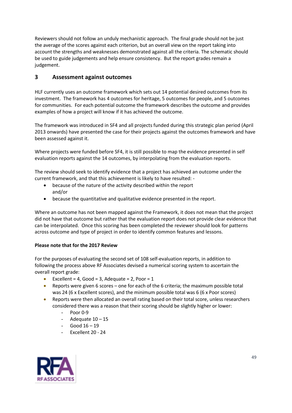Reviewers should not follow an unduly mechanistic approach. The final grade should not be just the average of the scores against each criterion, but an overall view on the report taking into account the strengths and weaknesses demonstrated against all the criteria. The schematic should be used to guide judgements and help ensure consistency. But the report grades remain a judgement.

## **3 Assessment against outcomes**

HLF currently uses an outcome framework which sets out 14 potential desired outcomes from its investment. The framework has 4 outcomes for heritage, 5 outcomes for people, and 5 outcomes for communities. For each potential outcome the framework describes the outcome and provides examples of how a project will know if it has achieved the outcome.

The framework was introduced in SF4 and all projects funded during this strategic plan period (April 2013 onwards) have presented the case for their projects against the outcomes framework and have been assessed against it.

Where projects were funded before SF4, it is still possible to map the evidence presented in self evaluation reports against the 14 outcomes, by interpolating from the evaluation reports.

The review should seek to identify evidence that a project has achieved an outcome under the current framework, and that this achievement is likely to have resulted: -

- because of the nature of the activity described within the report and/or
- because the quantitative and qualitative evidence presented in the report.

Where an outcome has not been mapped against the Framework, it does not mean that the project did not have that outcome but rather that the evaluation report does not provide clear evidence that can be interpolated. Once this scoring has been completed the reviewer should look for patterns across outcome and type of project in order to identify common features and lessons.

#### **Please note that for the 2017 Review**

For the purposes of evaluating the second set of 108 self-evaluation reports, in addition to following the process above RF Associates devised a numerical scoring system to ascertain the overall report grade:

- Excellent = 4, Good = 3, Adequate = 2, Poor =  $1$
- Reports were given 6 scores one for each of the 6 criteria; the maximum possible total was 24 (6 x Excellent scores), and the minimum possible total was 6 (6 x Poor scores)
- Reports were then allocated an overall rating based on their total score, unless researchers considered there was a reason that their scoring should be slightly higher or lower:
	- Poor 0-9
	- Adequate  $10 15$
	- Good  $16 19$
	- Excellent 20 24

![](_page_48_Picture_18.jpeg)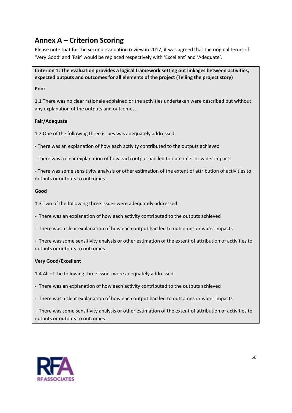# <span id="page-49-0"></span>**Annex A – Criterion Scoring**

Please note that for the second evaluation review in 2017, it was agreed that the original terms of 'Very Good' and 'Fair' would be replaced respectively with 'Excellent' and 'Adequate'.

## **Criterion 1: The evaluation provides a logical framework setting out linkages between activities, expected outputs and outcomes for all elements of the project (Telling the project story)**

#### **Poor**

1.1 There was no clear rationale explained or the activities undertaken were described but without any explanation of the outputs and outcomes.

#### **Fair/Adequate**

1.2 One of the following three issues was adequately addressed:

- There was an explanation of how each activity contributed to the outputs achieved

- There was a clear explanation of how each output had led to outcomes or wider impacts

- There was some sensitivity analysis or other estimation of the extent of attribution of activities to outputs or outputs to outcomes

#### **Good**

- 1.3 Two of the following three issues were adequately addressed:
- There was an explanation of how each activity contributed to the outputs achieved
- There was a clear explanation of how each output had led to outcomes or wider impacts
- There was some sensitivity analysis or other estimation of the extent of attribution of activities to outputs or outputs to outcomes

## **Very Good/Excellent**

- 1.4 All of the following three issues were adequately addressed:
- There was an explanation of how each activity contributed to the outputs achieved
- There was a clear explanation of how each output had led to outcomes or wider impacts

- There was some sensitivity analysis or other estimation of the extent of attribution of activities to outputs or outputs to outcomes

![](_page_49_Picture_20.jpeg)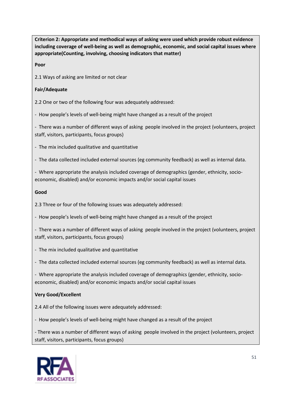**Criterion 2: Appropriate and methodical ways of asking were used which provide robust evidence including coverage of well-being as well as demographic, economic, and social capital issues where appropriate(Counting, involving, choosing indicators that matter)** 

**Poor**

2.1 Ways of asking are limited or not clear

#### **Fair/Adequate**

2.2 One or two of the following four was adequately addressed:

- How people's levels of well-being might have changed as a result of the project

- There was a number of different ways of asking people involved in the project (volunteers, project staff, visitors, participants, focus groups)

- The mix included qualitative and quantitative
- The data collected included external sources (eg community feedback) as well as internal data.
- Where appropriate the analysis included coverage of demographics (gender, ethnicity, socioeconomic, disabled) and/or economic impacts and/or social capital issues

#### **Good**

2.3 Three or four of the following issues was adequately addressed:

- How people's levels of well-being might have changed as a result of the project

- There was a number of different ways of asking people involved in the project (volunteers, project staff, visitors, participants, focus groups)

- The mix included qualitative and quantitative
- The data collected included external sources (eg community feedback) as well as internal data.

- Where appropriate the analysis included coverage of demographics (gender, ethnicity, socioeconomic, disabled) and/or economic impacts and/or social capital issues

#### **Very Good/Excellent**

2.4 All of the following issues were adequately addressed:

- How people's levels of well-being might have changed as a result of the project

- There was a number of different ways of asking people involved in the project (volunteers, project staff, visitors, participants, focus groups)

![](_page_50_Picture_21.jpeg)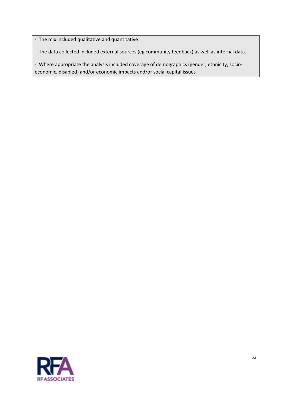- The mix included qualitative and quantitative

- The data collected included external sources (eg community feedback) as well as internal data.

- Where appropriate the analysis included coverage of demographics (gender, ethnicity, socioeconomic, disabled) and/or economic impacts and/or social capital issues

![](_page_51_Picture_3.jpeg)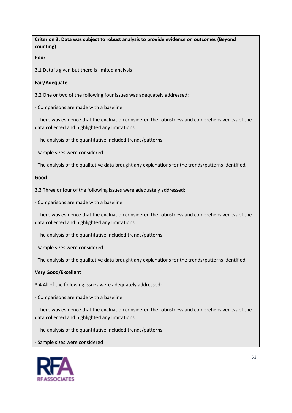| Criterion 3: Data was subject to robust analysis to provide evidence on outcomes (Beyond<br>counting)                                             |
|---------------------------------------------------------------------------------------------------------------------------------------------------|
| Poor                                                                                                                                              |
| 3.1 Data is given but there is limited analysis                                                                                                   |
| Fair/Adequate                                                                                                                                     |
| 3.2 One or two of the following four issues was adequately addressed:                                                                             |
| - Comparisons are made with a baseline                                                                                                            |
| - There was evidence that the evaluation considered the robustness and comprehensiveness of the<br>data collected and highlighted any limitations |
| - The analysis of the quantitative included trends/patterns                                                                                       |
| - Sample sizes were considered                                                                                                                    |
| - The analysis of the qualitative data brought any explanations for the trends/patterns identified.                                               |
| Good                                                                                                                                              |
| 3.3 Three or four of the following issues were adequately addressed:                                                                              |
| - Comparisons are made with a baseline                                                                                                            |
| - There was evidence that the evaluation considered the robustness and comprehensiveness of the<br>data collected and highlighted any limitations |
| - The analysis of the quantitative included trends/patterns                                                                                       |
| - Sample sizes were considered                                                                                                                    |
| - The analysis of the qualitative data brought any explanations for the trends/patterns identified.                                               |
| <b>Very Good/Excellent</b>                                                                                                                        |
| 3.4 All of the following issues were adequately addressed:                                                                                        |
| - Comparisons are made with a baseline                                                                                                            |
| - There was evidence that the evaluation considered the robustness and comprehensiveness of the<br>data collected and highlighted any limitations |
| - The analysis of the quantitative included trends/patterns                                                                                       |
| - Sample sizes were considered                                                                                                                    |
| 53<br><b>EASSOCIATES</b>                                                                                                                          |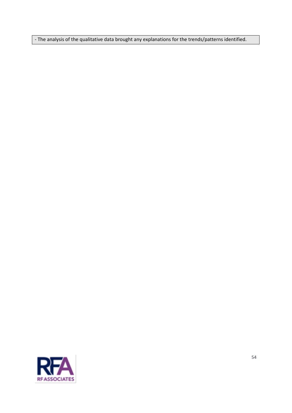- The analysis of the qualitative data brought any explanations for the trends/patterns identified.

![](_page_53_Picture_1.jpeg)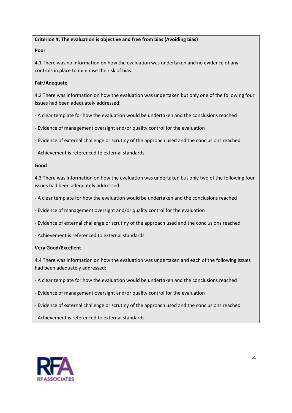#### **Criterion 4: The evaluation is objective and free from bias (Avoiding bias)**

#### **Poor**

4.1 There was no information on how the evaluation was undertaken and no evidence of any controls in place to minimise the risk of bias.

#### **Fair/Adequate**

4.2 There was information on how the evaluation was undertaken but only one of the following four issues had been adequately addressed:

- A clear template for how the evaluation would be undertaken and the conclusions reached
- Evidence of management oversight and/or quality control for the evaluation
- Evidence of external challenge or scrutiny of the approach used and the conclusions reached
- Achievement is referenced to external standards

#### **Good**

4.3 There was information on how the evaluation was undertaken but only two of the following four issues had been adequately addressed:

- A clear template for how the evaluation would be undertaken and the conclusions reached
- Evidence of management oversight and/or quality control for the evaluation
- Evidence of external challenge or scrutiny of the approach used and the conclusions reached
- Achievement is referenced to external standards

#### **Very Good/Excellent**

4.4 There was information on how the evaluation was undertaken and each of the following issues had been adequately addressed:

- A clear template for how the evaluation would be undertaken and the conclusions reached
- Evidence of management oversight and/or quality control for the evaluation
- Evidence of external challenge or scrutiny of the approach used and the conclusions reached
- Achievement is referenced to external standards

![](_page_54_Picture_21.jpeg)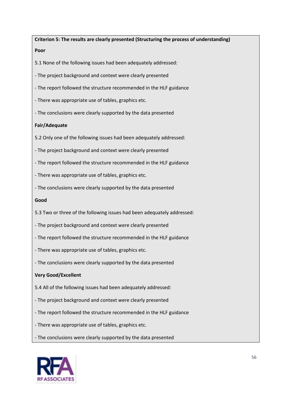**Criterion 5: The results are clearly presented (Structuring the process of understanding) Poor**

5.1 None of the following issues had been adequately addressed:

- The project background and context were clearly presented

- The report followed the structure recommended in the HLF guidance

- There was appropriate use of tables, graphics etc.
- The conclusions were clearly supported by the data presented

#### **Fair/Adequate**

5.2 Only one of the following issues had been adequately addressed:

- The project background and context were clearly presented
- The report followed the structure recommended in the HLF guidance
- There was appropriate use of tables, graphics etc.
- The conclusions were clearly supported by the data presented

#### **Good**

- 5.3 Two or three of the following issues had been adequately addressed:
- The project background and context were clearly presented
- The report followed the structure recommended in the HLF guidance
- There was appropriate use of tables, graphics etc.
- The conclusions were clearly supported by the data presented

#### **Very Good/Excellent**

- 5.4 All of the following issues had been adequately addressed:
- The project background and context were clearly presented
- The report followed the structure recommended in the HLF guidance
- There was appropriate use of tables, graphics etc.
- The conclusions were clearly supported by the data presented

![](_page_55_Picture_24.jpeg)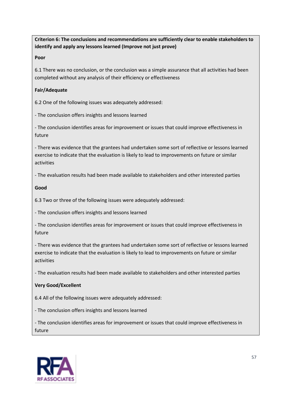**Criterion 6: The conclusions and recommendations are sufficiently clear to enable stakeholders to identify and apply any lessons learned (Improve not just prove)**

**Poor**

6.1 There was no conclusion, or the conclusion was a simple assurance that all activities had been completed without any analysis of their efficiency or effectiveness

#### **Fair/Adequate**

6.2 One of the following issues was adequately addressed:

- The conclusion offers insights and lessons learned

- The conclusion identifies areas for improvement or issues that could improve effectiveness in future

- There was evidence that the grantees had undertaken some sort of reflective or lessons learned exercise to indicate that the evaluation is likely to lead to improvements on future or similar activities

- The evaluation results had been made available to stakeholders and other interested parties

**Good**

6.3 Two or three of the following issues were adequately addressed:

- The conclusion offers insights and lessons learned

- The conclusion identifies areas for improvement or issues that could improve effectiveness in future

- There was evidence that the grantees had undertaken some sort of reflective or lessons learned exercise to indicate that the evaluation is likely to lead to improvements on future or similar activities

- The evaluation results had been made available to stakeholders and other interested parties

#### **Very Good/Excellent**

6.4 All of the following issues were adequately addressed:

- The conclusion offers insights and lessons learned

- The conclusion identifies areas for improvement or issues that could improve effectiveness in future

![](_page_56_Picture_19.jpeg)